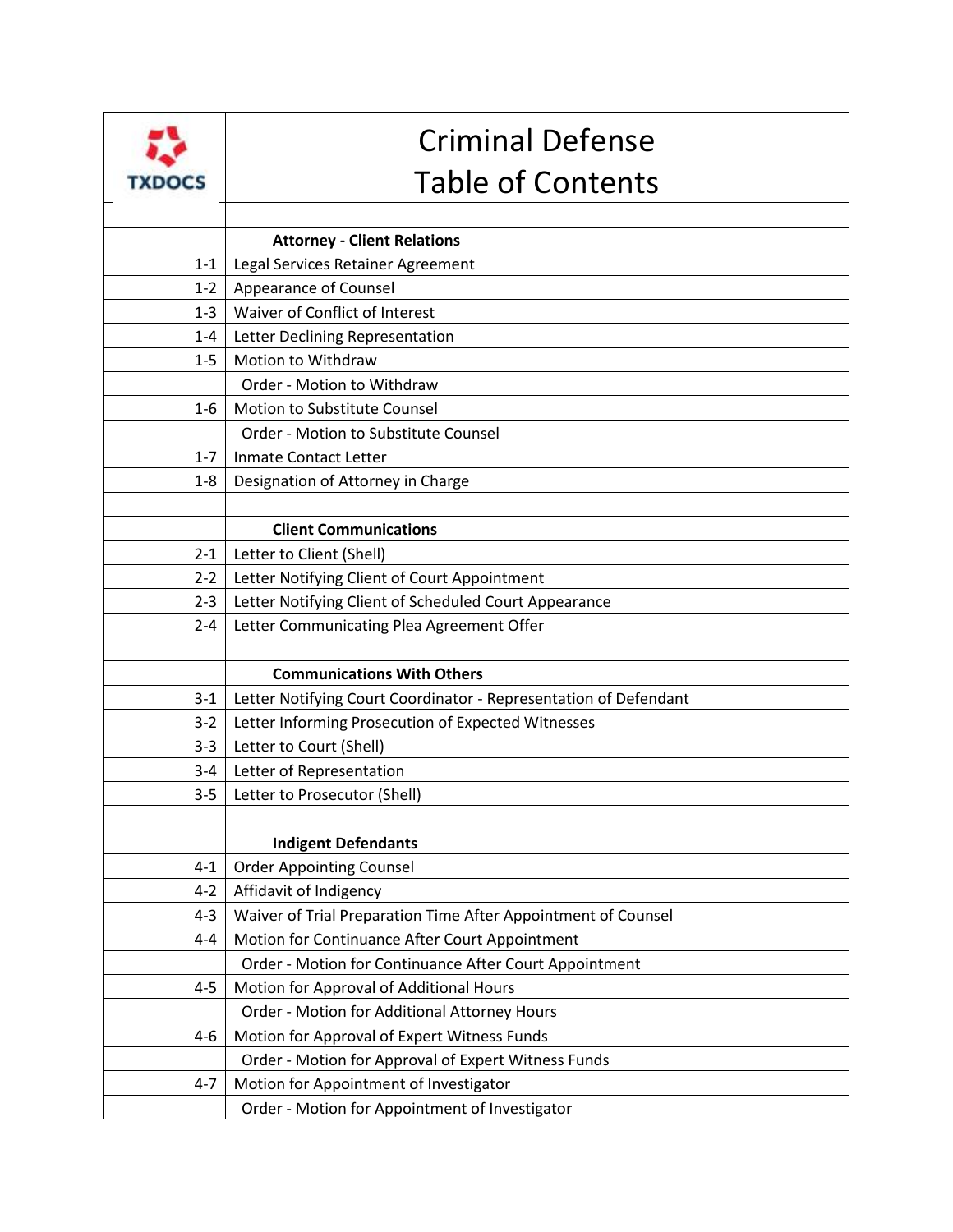|               | <b>Criminal Defense</b>                                          |
|---------------|------------------------------------------------------------------|
| <b>TXDOCS</b> | <b>Table of Contents</b>                                         |
|               |                                                                  |
|               | <b>Attorney - Client Relations</b>                               |
| $1 - 1$       | Legal Services Retainer Agreement                                |
| $1 - 2$       | Appearance of Counsel                                            |
| $1 - 3$       | Waiver of Conflict of Interest                                   |
| $1 - 4$       | Letter Declining Representation                                  |
| $1 - 5$       | Motion to Withdraw                                               |
|               | Order - Motion to Withdraw                                       |
| $1-6$         | Motion to Substitute Counsel                                     |
|               | Order - Motion to Substitute Counsel                             |
| $1 - 7$       | <b>Inmate Contact Letter</b>                                     |
| $1 - 8$       | Designation of Attorney in Charge                                |
|               |                                                                  |
|               | <b>Client Communications</b>                                     |
| $2 - 1$       | Letter to Client (Shell)                                         |
| $2 - 2$       | Letter Notifying Client of Court Appointment                     |
| $2 - 3$       | Letter Notifying Client of Scheduled Court Appearance            |
| $2 - 4$       | Letter Communicating Plea Agreement Offer                        |
|               |                                                                  |
|               | <b>Communications With Others</b>                                |
| $3 - 1$       | Letter Notifying Court Coordinator - Representation of Defendant |
| $3 - 2$       | Letter Informing Prosecution of Expected Witnesses               |
| $3 - 3$       | Letter to Court (Shell)                                          |
| $3 - 4$       | Letter of Representation                                         |
| $3 - 5$       | Letter to Prosecutor (Shell)                                     |
|               |                                                                  |
|               | <b>Indigent Defendants</b>                                       |
| $4 - 1$       | <b>Order Appointing Counsel</b>                                  |
| $4 - 2$       | Affidavit of Indigency                                           |
| $4 - 3$       | Waiver of Trial Preparation Time After Appointment of Counsel    |
| $4 - 4$       | Motion for Continuance After Court Appointment                   |
|               | Order - Motion for Continuance After Court Appointment           |
| $4 - 5$       | Motion for Approval of Additional Hours                          |
|               | Order - Motion for Additional Attorney Hours                     |
| 4-6           | Motion for Approval of Expert Witness Funds                      |
|               | Order - Motion for Approval of Expert Witness Funds              |
| 4-7           | Motion for Appointment of Investigator                           |
|               | Order - Motion for Appointment of Investigator                   |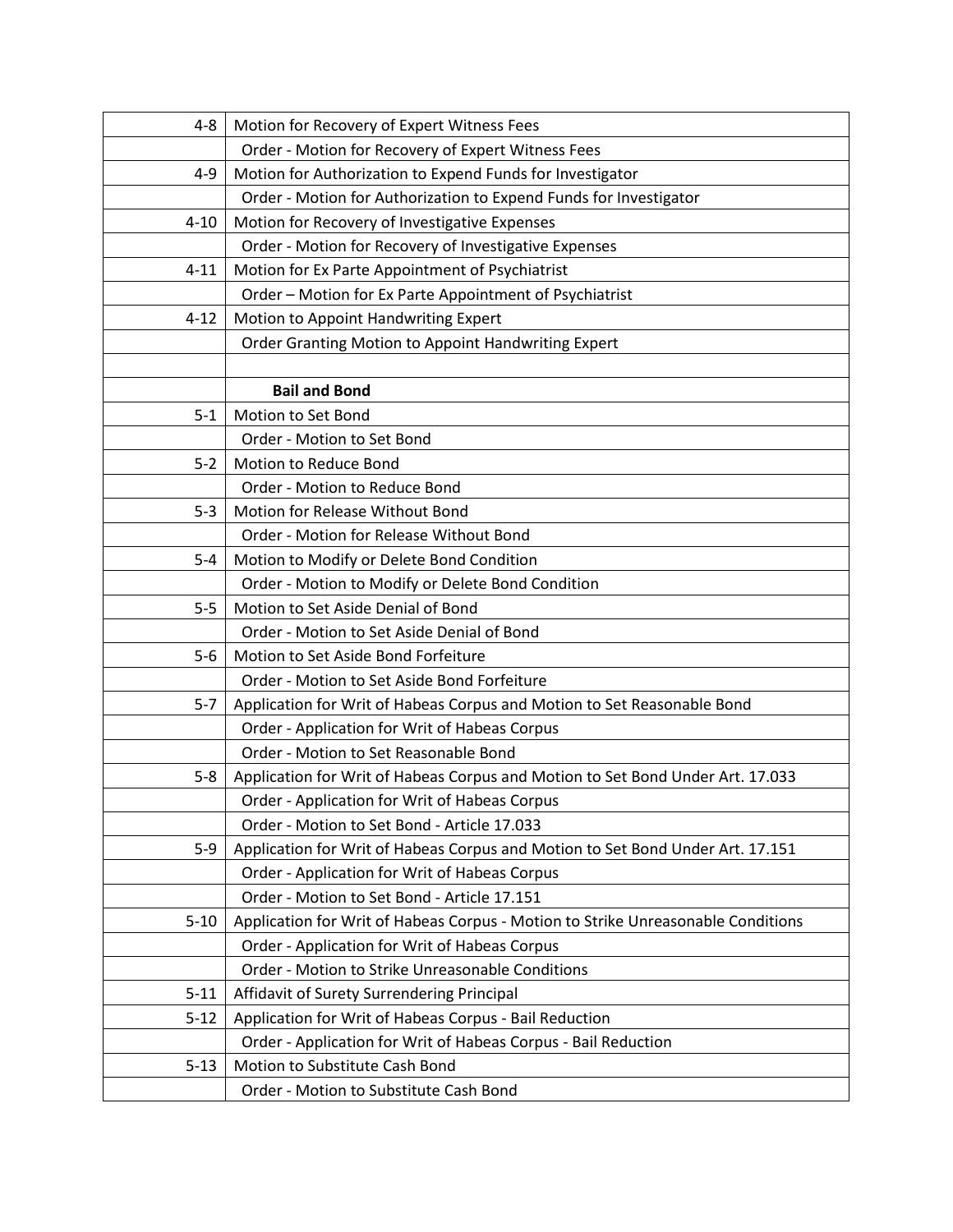| $4 - 8$  | Motion for Recovery of Expert Witness Fees                                       |
|----------|----------------------------------------------------------------------------------|
|          | Order - Motion for Recovery of Expert Witness Fees                               |
| $4 - 9$  | Motion for Authorization to Expend Funds for Investigator                        |
|          | Order - Motion for Authorization to Expend Funds for Investigator                |
| $4 - 10$ | Motion for Recovery of Investigative Expenses                                    |
|          | Order - Motion for Recovery of Investigative Expenses                            |
| $4 - 11$ | Motion for Ex Parte Appointment of Psychiatrist                                  |
|          | Order - Motion for Ex Parte Appointment of Psychiatrist                          |
| $4 - 12$ | Motion to Appoint Handwriting Expert                                             |
|          | Order Granting Motion to Appoint Handwriting Expert                              |
|          |                                                                                  |
|          | <b>Bail and Bond</b>                                                             |
| $5 - 1$  | Motion to Set Bond                                                               |
|          | Order - Motion to Set Bond                                                       |
| $5 - 2$  | Motion to Reduce Bond                                                            |
|          | Order - Motion to Reduce Bond                                                    |
| $5 - 3$  | Motion for Release Without Bond                                                  |
|          | Order - Motion for Release Without Bond                                          |
| $5 - 4$  | Motion to Modify or Delete Bond Condition                                        |
|          | Order - Motion to Modify or Delete Bond Condition                                |
| $5 - 5$  | Motion to Set Aside Denial of Bond                                               |
|          | Order - Motion to Set Aside Denial of Bond                                       |
| $5-6$    | Motion to Set Aside Bond Forfeiture                                              |
|          | Order - Motion to Set Aside Bond Forfeiture                                      |
| $5 - 7$  | Application for Writ of Habeas Corpus and Motion to Set Reasonable Bond          |
|          | Order - Application for Writ of Habeas Corpus                                    |
|          | Order - Motion to Set Reasonable Bond                                            |
| $5 - 8$  | Application for Writ of Habeas Corpus and Motion to Set Bond Under Art. 17.033   |
|          | Order - Application for Writ of Habeas Corpus                                    |
|          | Order - Motion to Set Bond - Article 17.033                                      |
| $5 - 9$  | Application for Writ of Habeas Corpus and Motion to Set Bond Under Art. 17.151   |
|          | Order - Application for Writ of Habeas Corpus                                    |
|          | Order - Motion to Set Bond - Article 17.151                                      |
| $5 - 10$ | Application for Writ of Habeas Corpus - Motion to Strike Unreasonable Conditions |
|          | Order - Application for Writ of Habeas Corpus                                    |
|          | Order - Motion to Strike Unreasonable Conditions                                 |
| $5 - 11$ | Affidavit of Surety Surrendering Principal                                       |
| $5 - 12$ | Application for Writ of Habeas Corpus - Bail Reduction                           |
|          | Order - Application for Writ of Habeas Corpus - Bail Reduction                   |
| $5 - 13$ | Motion to Substitute Cash Bond                                                   |
|          | Order - Motion to Substitute Cash Bond                                           |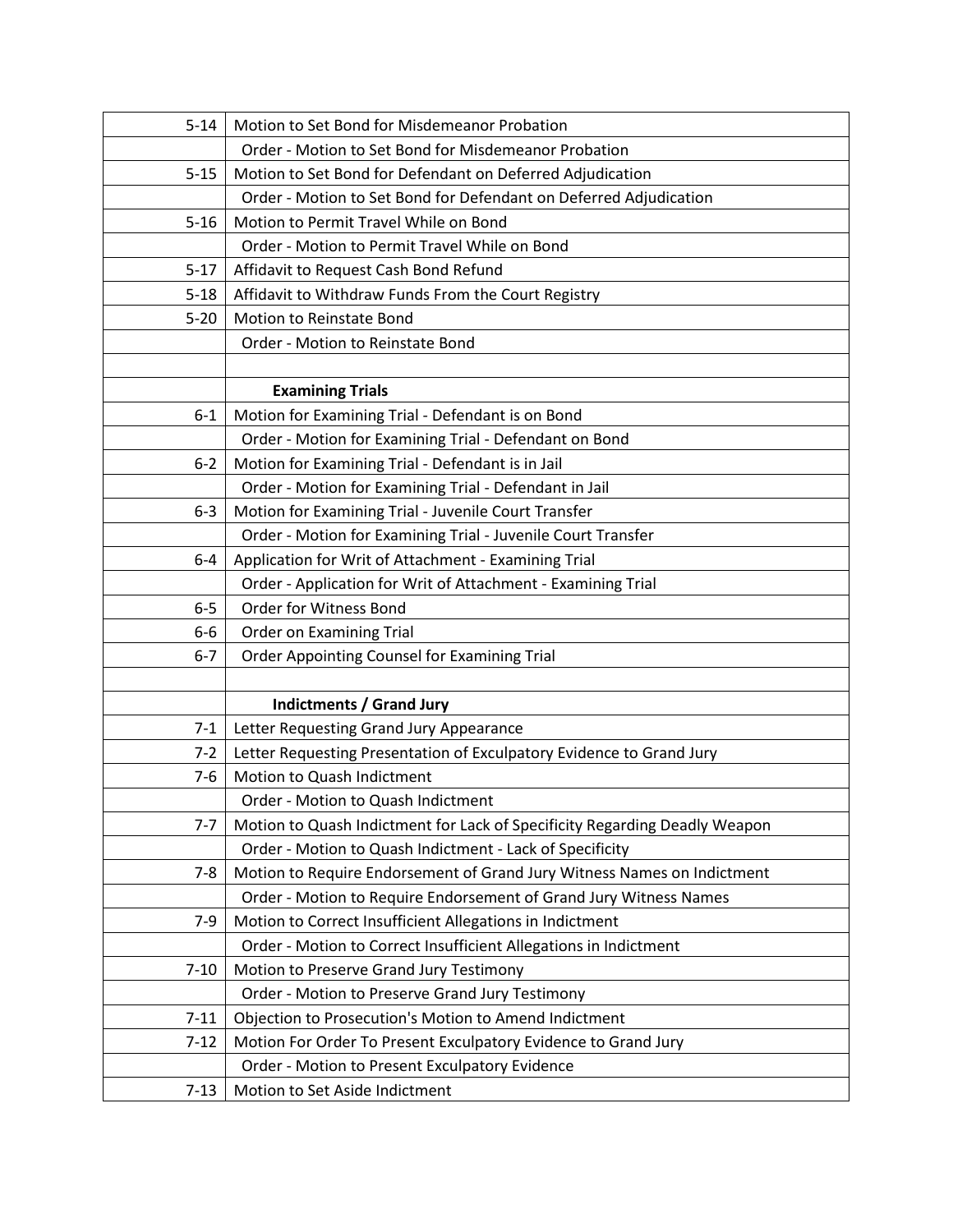| $5 - 14$ | Motion to Set Bond for Misdemeanor Probation                               |
|----------|----------------------------------------------------------------------------|
|          | Order - Motion to Set Bond for Misdemeanor Probation                       |
| $5 - 15$ | Motion to Set Bond for Defendant on Deferred Adjudication                  |
|          | Order - Motion to Set Bond for Defendant on Deferred Adjudication          |
| $5 - 16$ | Motion to Permit Travel While on Bond                                      |
|          | Order - Motion to Permit Travel While on Bond                              |
| $5 - 17$ | Affidavit to Request Cash Bond Refund                                      |
| $5 - 18$ | Affidavit to Withdraw Funds From the Court Registry                        |
| $5 - 20$ | <b>Motion to Reinstate Bond</b>                                            |
|          | Order - Motion to Reinstate Bond                                           |
|          |                                                                            |
|          | <b>Examining Trials</b>                                                    |
| $6 - 1$  | Motion for Examining Trial - Defendant is on Bond                          |
|          | Order - Motion for Examining Trial - Defendant on Bond                     |
| $6 - 2$  | Motion for Examining Trial - Defendant is in Jail                          |
|          | Order - Motion for Examining Trial - Defendant in Jail                     |
| $6 - 3$  | Motion for Examining Trial - Juvenile Court Transfer                       |
|          | Order - Motion for Examining Trial - Juvenile Court Transfer               |
| $6 - 4$  | Application for Writ of Attachment - Examining Trial                       |
|          | Order - Application for Writ of Attachment - Examining Trial               |
| $6-5$    | Order for Witness Bond                                                     |
| 6-6      | <b>Order on Examining Trial</b>                                            |
| $6-7$    | Order Appointing Counsel for Examining Trial                               |
|          |                                                                            |
|          | <b>Indictments / Grand Jury</b>                                            |
| $7 - 1$  | Letter Requesting Grand Jury Appearance                                    |
| $7 - 2$  | Letter Requesting Presentation of Exculpatory Evidence to Grand Jury       |
| $7-6$    | Motion to Quash Indictment                                                 |
|          | Order - Motion to Quash Indictment                                         |
| $7 - 7$  | Motion to Quash Indictment for Lack of Specificity Regarding Deadly Weapon |
|          | Order - Motion to Quash Indictment - Lack of Specificity                   |
| $7 - 8$  | Motion to Require Endorsement of Grand Jury Witness Names on Indictment    |
|          | Order - Motion to Require Endorsement of Grand Jury Witness Names          |
| $7-9$    | Motion to Correct Insufficient Allegations in Indictment                   |
|          | Order - Motion to Correct Insufficient Allegations in Indictment           |
| $7 - 10$ | Motion to Preserve Grand Jury Testimony                                    |
|          | Order - Motion to Preserve Grand Jury Testimony                            |
| $7 - 11$ | Objection to Prosecution's Motion to Amend Indictment                      |
| $7 - 12$ | Motion For Order To Present Exculpatory Evidence to Grand Jury             |
|          | Order - Motion to Present Exculpatory Evidence                             |
| $7 - 13$ | Motion to Set Aside Indictment                                             |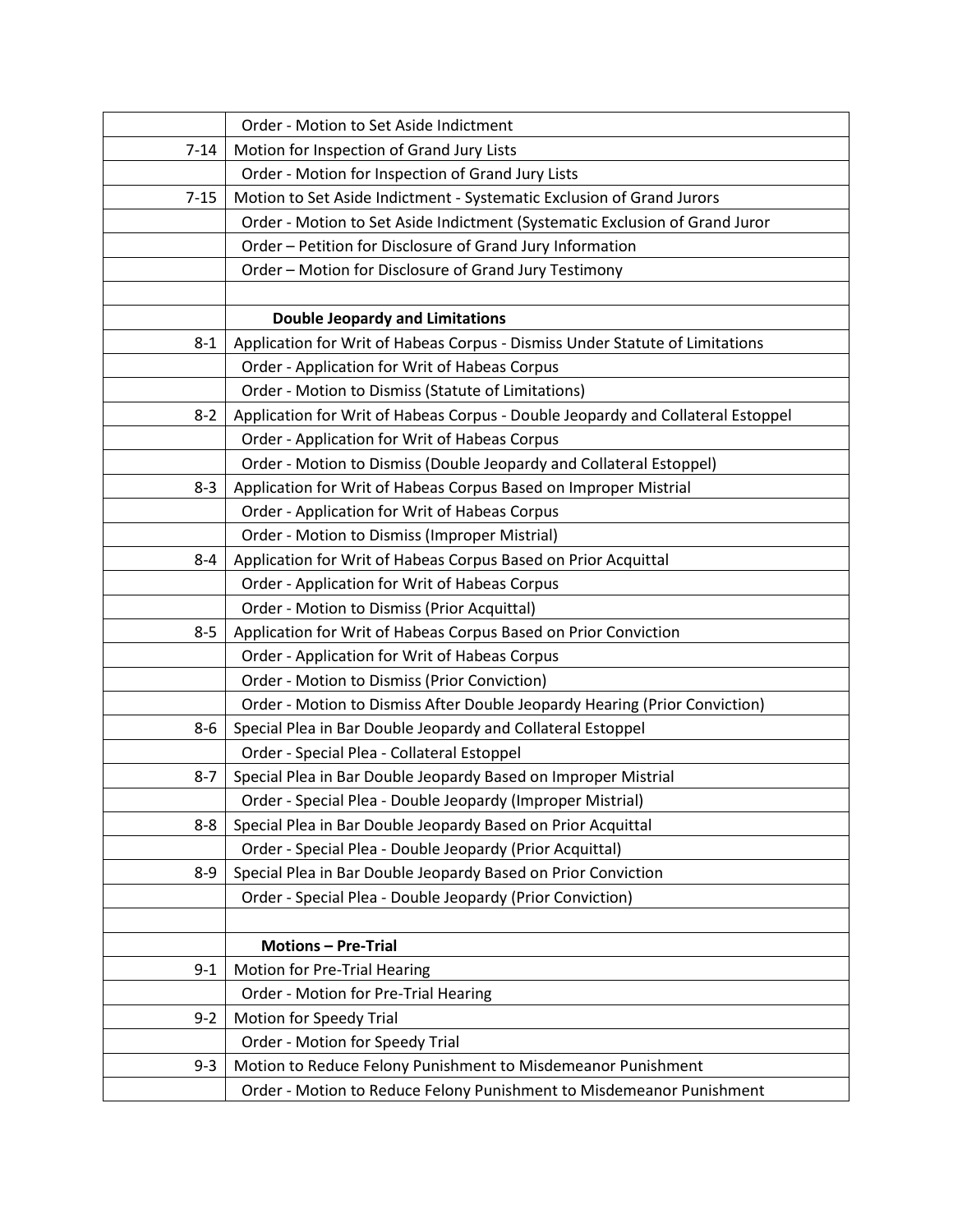|          | Order - Motion to Set Aside Indictment                                          |
|----------|---------------------------------------------------------------------------------|
| $7 - 14$ | Motion for Inspection of Grand Jury Lists                                       |
|          | Order - Motion for Inspection of Grand Jury Lists                               |
| $7 - 15$ | Motion to Set Aside Indictment - Systematic Exclusion of Grand Jurors           |
|          | Order - Motion to Set Aside Indictment (Systematic Exclusion of Grand Juror     |
|          | Order - Petition for Disclosure of Grand Jury Information                       |
|          | Order - Motion for Disclosure of Grand Jury Testimony                           |
|          |                                                                                 |
|          | <b>Double Jeopardy and Limitations</b>                                          |
| $8 - 1$  | Application for Writ of Habeas Corpus - Dismiss Under Statute of Limitations    |
|          | Order - Application for Writ of Habeas Corpus                                   |
|          | Order - Motion to Dismiss (Statute of Limitations)                              |
| $8 - 2$  | Application for Writ of Habeas Corpus - Double Jeopardy and Collateral Estoppel |
|          | Order - Application for Writ of Habeas Corpus                                   |
|          | Order - Motion to Dismiss (Double Jeopardy and Collateral Estoppel)             |
| $8 - 3$  | Application for Writ of Habeas Corpus Based on Improper Mistrial                |
|          | Order - Application for Writ of Habeas Corpus                                   |
|          | Order - Motion to Dismiss (Improper Mistrial)                                   |
| 8-4      | Application for Writ of Habeas Corpus Based on Prior Acquittal                  |
|          | Order - Application for Writ of Habeas Corpus                                   |
|          | Order - Motion to Dismiss (Prior Acquittal)                                     |
| $8 - 5$  | Application for Writ of Habeas Corpus Based on Prior Conviction                 |
|          | Order - Application for Writ of Habeas Corpus                                   |
|          | Order - Motion to Dismiss (Prior Conviction)                                    |
|          | Order - Motion to Dismiss After Double Jeopardy Hearing (Prior Conviction)      |
| $8 - 6$  | Special Plea in Bar Double Jeopardy and Collateral Estoppel                     |
|          | Order - Special Plea - Collateral Estoppel                                      |
| $8 - 7$  | Special Plea in Bar Double Jeopardy Based on Improper Mistrial                  |
|          | Order - Special Plea - Double Jeopardy (Improper Mistrial)                      |
| $8 - 8$  | Special Plea in Bar Double Jeopardy Based on Prior Acquittal                    |
|          | Order - Special Plea - Double Jeopardy (Prior Acquittal)                        |
| $8 - 9$  | Special Plea in Bar Double Jeopardy Based on Prior Conviction                   |
|          | Order - Special Plea - Double Jeopardy (Prior Conviction)                       |
|          |                                                                                 |
|          | <b>Motions - Pre-Trial</b>                                                      |
| $9 - 1$  | Motion for Pre-Trial Hearing                                                    |
|          | Order - Motion for Pre-Trial Hearing                                            |
| $9 - 2$  | <b>Motion for Speedy Trial</b>                                                  |
|          | Order - Motion for Speedy Trial                                                 |
| $9 - 3$  | Motion to Reduce Felony Punishment to Misdemeanor Punishment                    |
|          | Order - Motion to Reduce Felony Punishment to Misdemeanor Punishment            |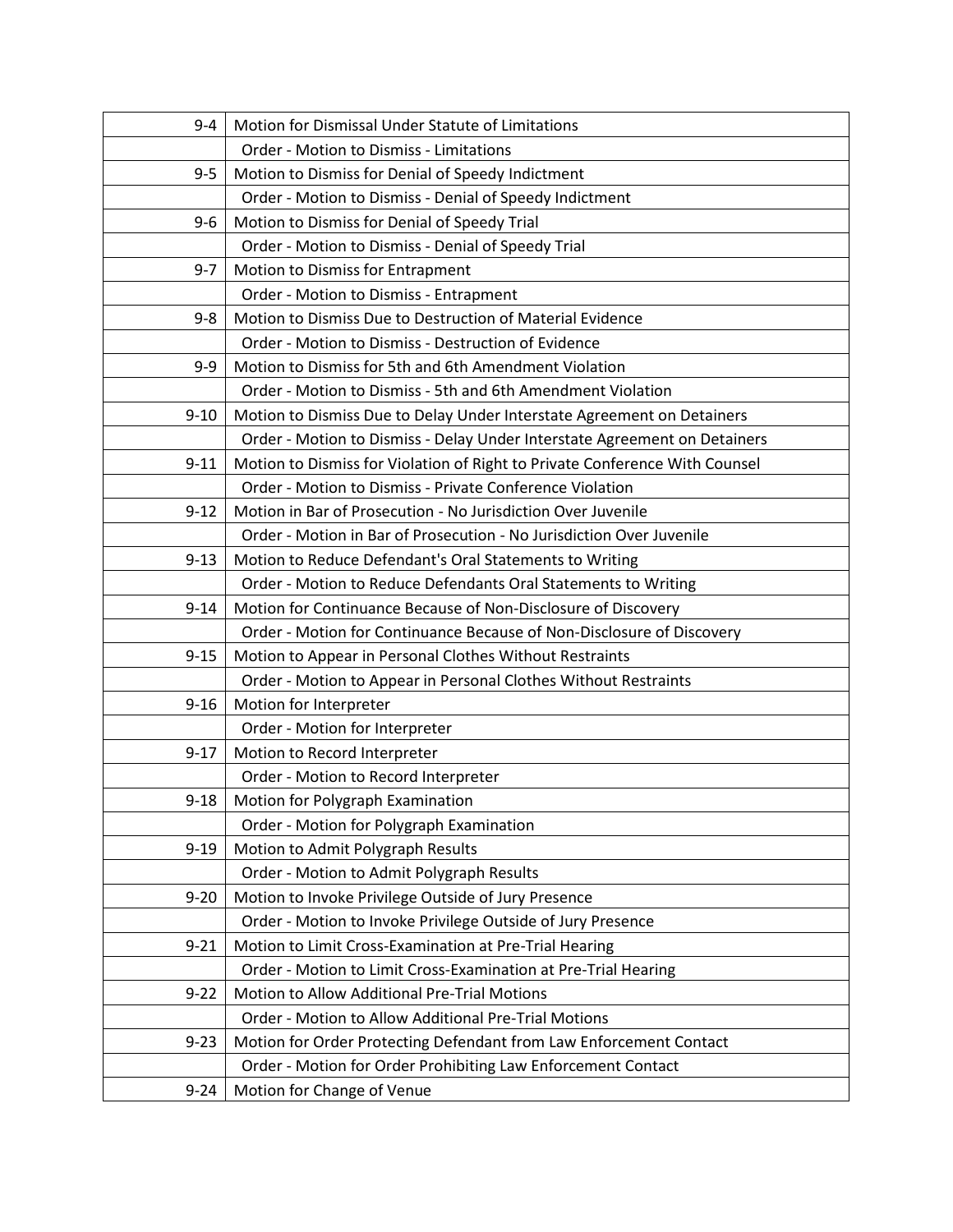| 9-4      | Motion for Dismissal Under Statute of Limitations                           |
|----------|-----------------------------------------------------------------------------|
|          | Order - Motion to Dismiss - Limitations                                     |
| $9 - 5$  | Motion to Dismiss for Denial of Speedy Indictment                           |
|          | Order - Motion to Dismiss - Denial of Speedy Indictment                     |
| $9 - 6$  | Motion to Dismiss for Denial of Speedy Trial                                |
|          | Order - Motion to Dismiss - Denial of Speedy Trial                          |
| $9 - 7$  | Motion to Dismiss for Entrapment                                            |
|          | Order - Motion to Dismiss - Entrapment                                      |
| $9 - 8$  | Motion to Dismiss Due to Destruction of Material Evidence                   |
|          | Order - Motion to Dismiss - Destruction of Evidence                         |
| $9 - 9$  | Motion to Dismiss for 5th and 6th Amendment Violation                       |
|          | Order - Motion to Dismiss - 5th and 6th Amendment Violation                 |
| $9 - 10$ | Motion to Dismiss Due to Delay Under Interstate Agreement on Detainers      |
|          | Order - Motion to Dismiss - Delay Under Interstate Agreement on Detainers   |
| $9 - 11$ | Motion to Dismiss for Violation of Right to Private Conference With Counsel |
|          | Order - Motion to Dismiss - Private Conference Violation                    |
| $9 - 12$ | Motion in Bar of Prosecution - No Jurisdiction Over Juvenile                |
|          | Order - Motion in Bar of Prosecution - No Jurisdiction Over Juvenile        |
| $9 - 13$ | Motion to Reduce Defendant's Oral Statements to Writing                     |
|          | Order - Motion to Reduce Defendants Oral Statements to Writing              |
| $9 - 14$ | Motion for Continuance Because of Non-Disclosure of Discovery               |
|          | Order - Motion for Continuance Because of Non-Disclosure of Discovery       |
| $9 - 15$ | Motion to Appear in Personal Clothes Without Restraints                     |
|          | Order - Motion to Appear in Personal Clothes Without Restraints             |
| $9 - 16$ | Motion for Interpreter                                                      |
|          | Order - Motion for Interpreter                                              |
| $9 - 17$ | Motion to Record Interpreter                                                |
|          | Order - Motion to Record Interpreter                                        |
| $9 - 18$ | Motion for Polygraph Examination                                            |
|          | Order - Motion for Polygraph Examination                                    |
| $9 - 19$ | Motion to Admit Polygraph Results                                           |
|          | Order - Motion to Admit Polygraph Results                                   |
| $9 - 20$ | Motion to Invoke Privilege Outside of Jury Presence                         |
|          | Order - Motion to Invoke Privilege Outside of Jury Presence                 |
| $9 - 21$ | Motion to Limit Cross-Examination at Pre-Trial Hearing                      |
|          | Order - Motion to Limit Cross-Examination at Pre-Trial Hearing              |
| $9 - 22$ | Motion to Allow Additional Pre-Trial Motions                                |
|          | Order - Motion to Allow Additional Pre-Trial Motions                        |
| $9 - 23$ | Motion for Order Protecting Defendant from Law Enforcement Contact          |
|          | Order - Motion for Order Prohibiting Law Enforcement Contact                |
| $9 - 24$ | Motion for Change of Venue                                                  |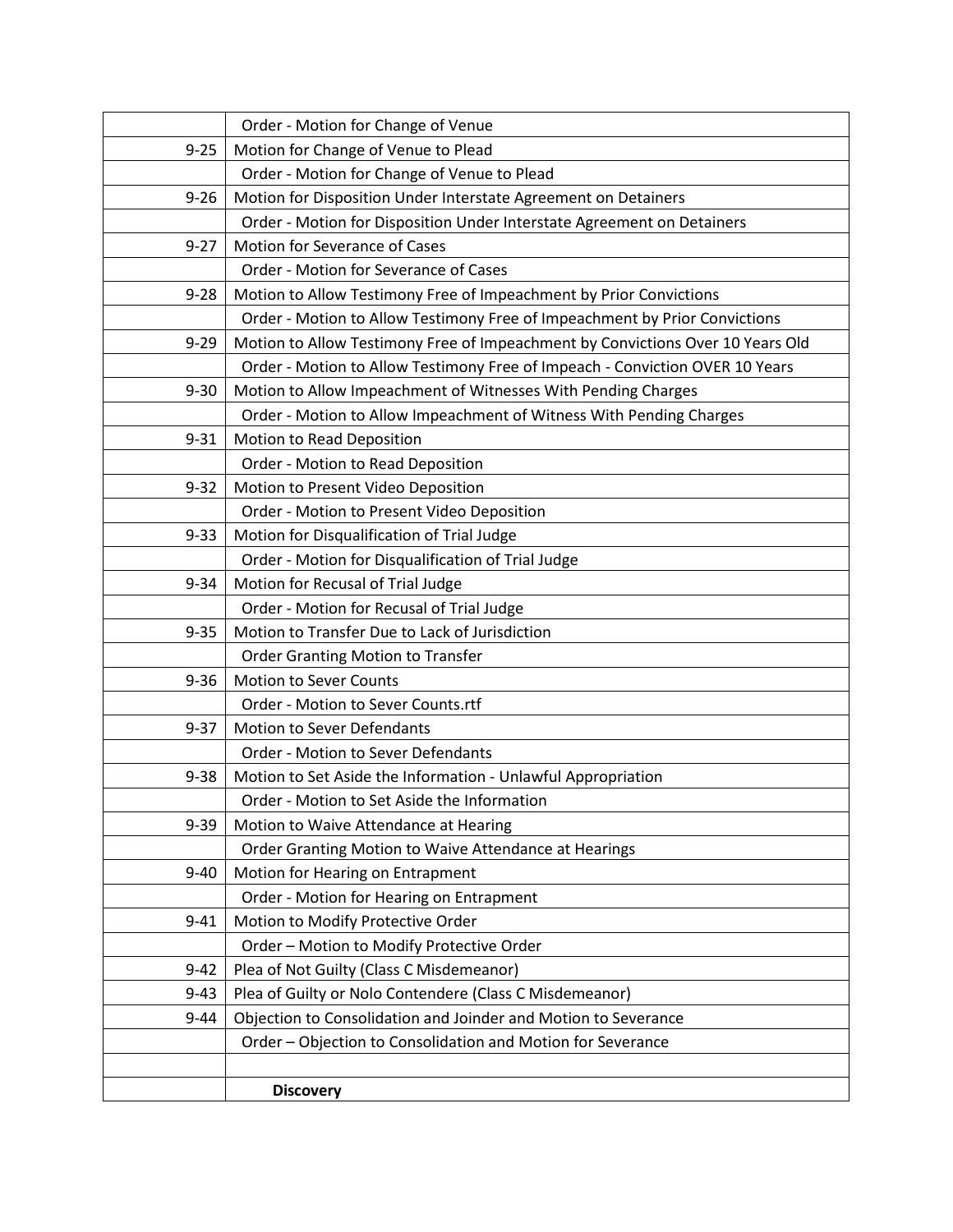|          | Order - Motion for Change of Venue                                             |
|----------|--------------------------------------------------------------------------------|
| $9 - 25$ | Motion for Change of Venue to Plead                                            |
|          | Order - Motion for Change of Venue to Plead                                    |
| $9 - 26$ | Motion for Disposition Under Interstate Agreement on Detainers                 |
|          | Order - Motion for Disposition Under Interstate Agreement on Detainers         |
| $9 - 27$ | Motion for Severance of Cases                                                  |
|          | Order - Motion for Severance of Cases                                          |
| $9 - 28$ | Motion to Allow Testimony Free of Impeachment by Prior Convictions             |
|          | Order - Motion to Allow Testimony Free of Impeachment by Prior Convictions     |
| $9 - 29$ | Motion to Allow Testimony Free of Impeachment by Convictions Over 10 Years Old |
|          | Order - Motion to Allow Testimony Free of Impeach - Conviction OVER 10 Years   |
| $9 - 30$ | Motion to Allow Impeachment of Witnesses With Pending Charges                  |
|          | Order - Motion to Allow Impeachment of Witness With Pending Charges            |
| $9 - 31$ | Motion to Read Deposition                                                      |
|          | Order - Motion to Read Deposition                                              |
| $9 - 32$ | Motion to Present Video Deposition                                             |
|          | Order - Motion to Present Video Deposition                                     |
| $9 - 33$ | Motion for Disqualification of Trial Judge                                     |
|          | Order - Motion for Disqualification of Trial Judge                             |
| $9 - 34$ | Motion for Recusal of Trial Judge                                              |
|          | Order - Motion for Recusal of Trial Judge                                      |
| $9 - 35$ | Motion to Transfer Due to Lack of Jurisdiction                                 |
|          | <b>Order Granting Motion to Transfer</b>                                       |
| $9 - 36$ | Motion to Sever Counts                                                         |
|          | Order - Motion to Sever Counts.rtf                                             |
| $9 - 37$ | <b>Motion to Sever Defendants</b>                                              |
|          | Order - Motion to Sever Defendants                                             |
| $9 - 38$ | Motion to Set Aside the Information - Unlawful Appropriation                   |
|          | Order - Motion to Set Aside the Information                                    |
| $9 - 39$ | Motion to Waive Attendance at Hearing                                          |
|          | Order Granting Motion to Waive Attendance at Hearings                          |
| $9 - 40$ | Motion for Hearing on Entrapment                                               |
|          | Order - Motion for Hearing on Entrapment                                       |
| $9 - 41$ | Motion to Modify Protective Order                                              |
|          | Order - Motion to Modify Protective Order                                      |
| $9 - 42$ | Plea of Not Guilty (Class C Misdemeanor)                                       |
| $9 - 43$ | Plea of Guilty or Nolo Contendere (Class C Misdemeanor)                        |
| $9 - 44$ | Objection to Consolidation and Joinder and Motion to Severance                 |
|          | Order - Objection to Consolidation and Motion for Severance                    |
|          |                                                                                |
|          | <b>Discovery</b>                                                               |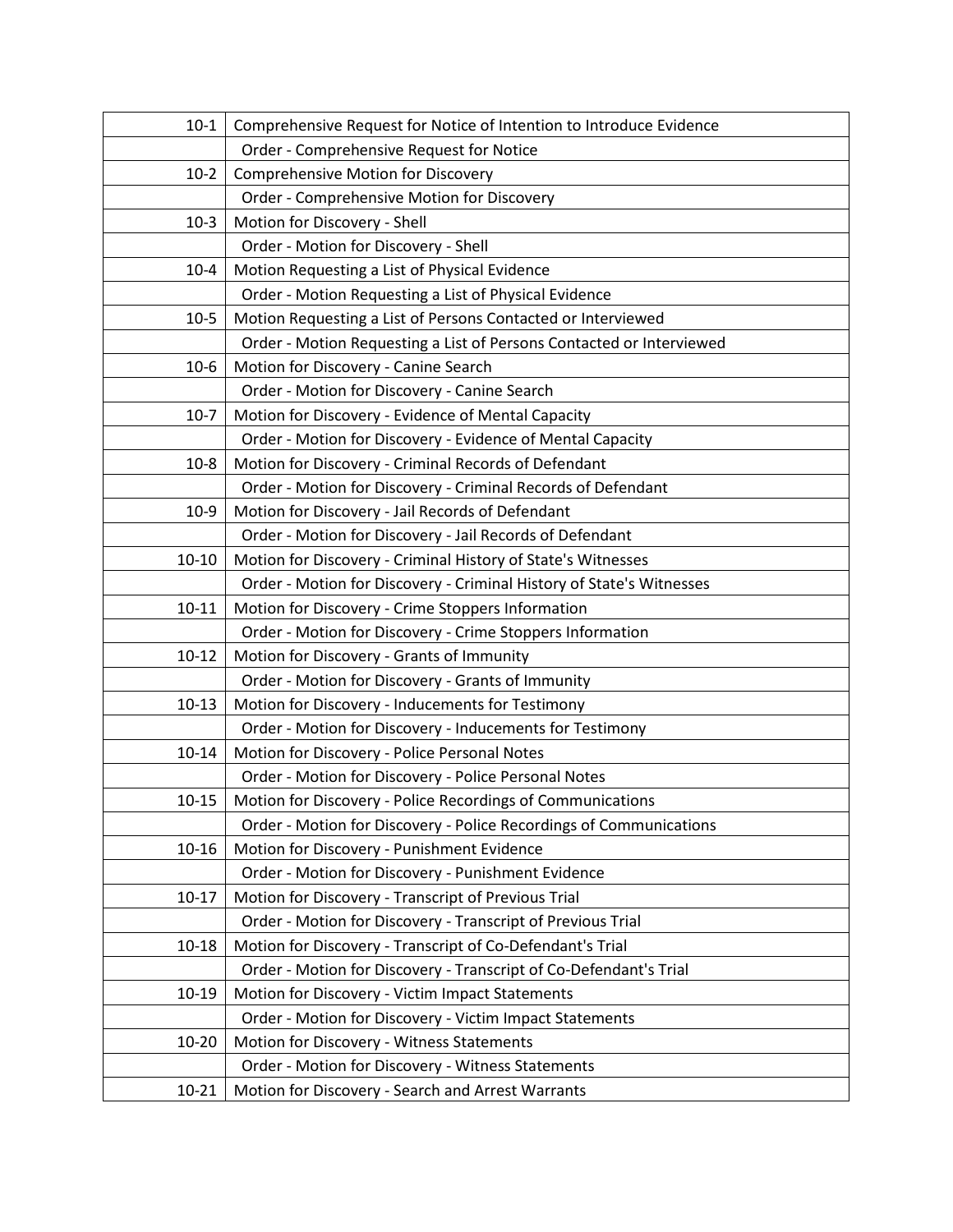| $10-1$    | Comprehensive Request for Notice of Intention to Introduce Evidence  |
|-----------|----------------------------------------------------------------------|
|           | Order - Comprehensive Request for Notice                             |
| $10-2$    | <b>Comprehensive Motion for Discovery</b>                            |
|           | Order - Comprehensive Motion for Discovery                           |
| $10-3$    | Motion for Discovery - Shell                                         |
|           | Order - Motion for Discovery - Shell                                 |
| $10 - 4$  | Motion Requesting a List of Physical Evidence                        |
|           | Order - Motion Requesting a List of Physical Evidence                |
| $10-5$    | Motion Requesting a List of Persons Contacted or Interviewed         |
|           | Order - Motion Requesting a List of Persons Contacted or Interviewed |
| $10-6$    | Motion for Discovery - Canine Search                                 |
|           | Order - Motion for Discovery - Canine Search                         |
| $10-7$    | Motion for Discovery - Evidence of Mental Capacity                   |
|           | Order - Motion for Discovery - Evidence of Mental Capacity           |
| $10-8$    | Motion for Discovery - Criminal Records of Defendant                 |
|           | Order - Motion for Discovery - Criminal Records of Defendant         |
| $10-9$    | Motion for Discovery - Jail Records of Defendant                     |
|           | Order - Motion for Discovery - Jail Records of Defendant             |
| $10 - 10$ | Motion for Discovery - Criminal History of State's Witnesses         |
|           | Order - Motion for Discovery - Criminal History of State's Witnesses |
| $10 - 11$ | Motion for Discovery - Crime Stoppers Information                    |
|           | Order - Motion for Discovery - Crime Stoppers Information            |
| $10 - 12$ | Motion for Discovery - Grants of Immunity                            |
|           | Order - Motion for Discovery - Grants of Immunity                    |
| $10 - 13$ | Motion for Discovery - Inducements for Testimony                     |
|           | Order - Motion for Discovery - Inducements for Testimony             |
| $10 - 14$ | Motion for Discovery - Police Personal Notes                         |
|           | Order - Motion for Discovery - Police Personal Notes                 |
| $10 - 15$ | Motion for Discovery - Police Recordings of Communications           |
|           | Order - Motion for Discovery - Police Recordings of Communications   |
| $10 - 16$ | Motion for Discovery - Punishment Evidence                           |
|           | Order - Motion for Discovery - Punishment Evidence                   |
| $10-17$   | Motion for Discovery - Transcript of Previous Trial                  |
|           | Order - Motion for Discovery - Transcript of Previous Trial          |
| $10 - 18$ | Motion for Discovery - Transcript of Co-Defendant's Trial            |
|           | Order - Motion for Discovery - Transcript of Co-Defendant's Trial    |
| 10-19     | Motion for Discovery - Victim Impact Statements                      |
|           | Order - Motion for Discovery - Victim Impact Statements              |
| 10-20     | Motion for Discovery - Witness Statements                            |
|           | Order - Motion for Discovery - Witness Statements                    |
| $10 - 21$ | Motion for Discovery - Search and Arrest Warrants                    |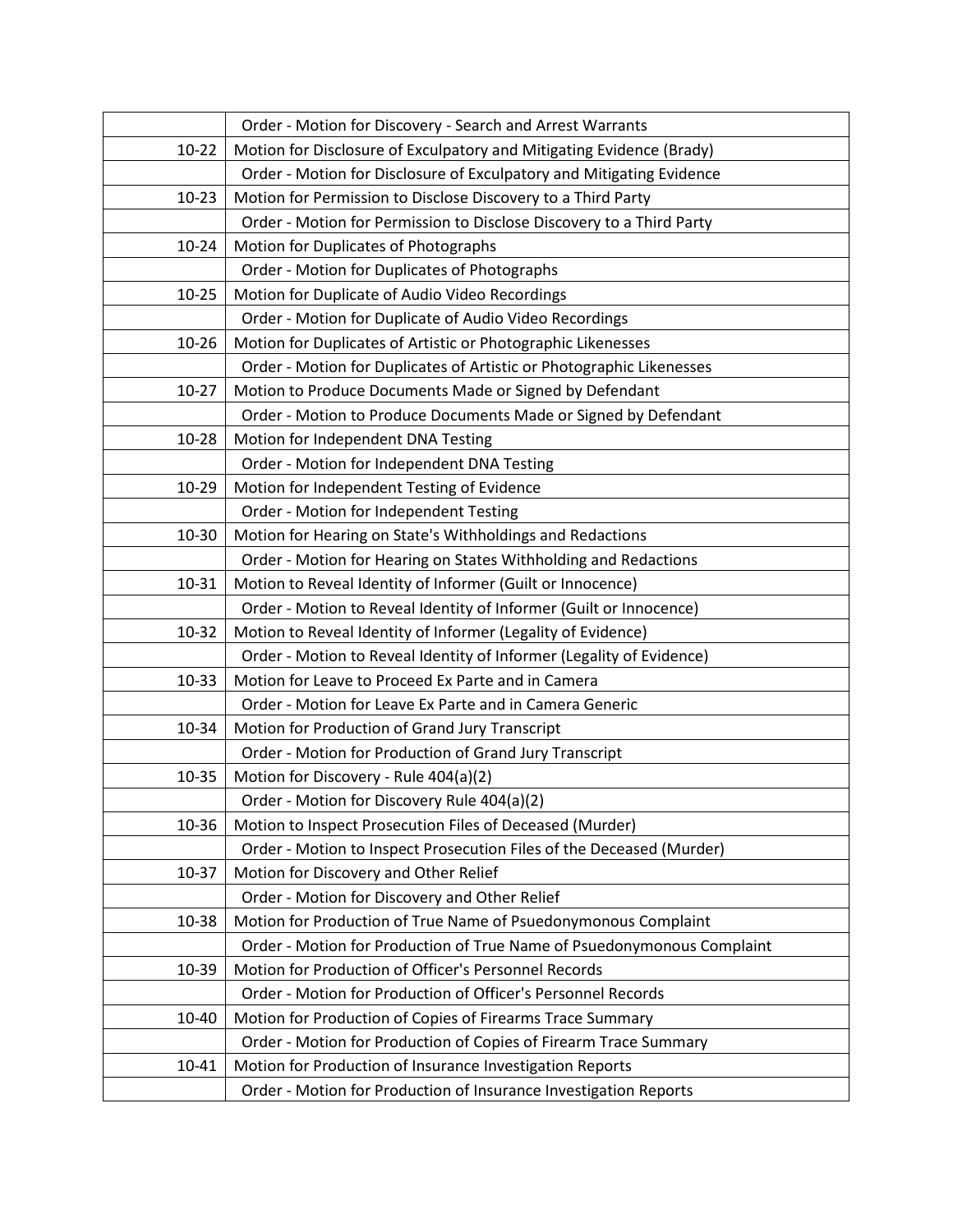|           | Order - Motion for Discovery - Search and Arrest Warrants              |
|-----------|------------------------------------------------------------------------|
| $10 - 22$ | Motion for Disclosure of Exculpatory and Mitigating Evidence (Brady)   |
|           | Order - Motion for Disclosure of Exculpatory and Mitigating Evidence   |
| $10 - 23$ | Motion for Permission to Disclose Discovery to a Third Party           |
|           | Order - Motion for Permission to Disclose Discovery to a Third Party   |
| $10 - 24$ | Motion for Duplicates of Photographs                                   |
|           | Order - Motion for Duplicates of Photographs                           |
| $10 - 25$ | Motion for Duplicate of Audio Video Recordings                         |
|           | Order - Motion for Duplicate of Audio Video Recordings                 |
| 10-26     | Motion for Duplicates of Artistic or Photographic Likenesses           |
|           | Order - Motion for Duplicates of Artistic or Photographic Likenesses   |
| $10 - 27$ | Motion to Produce Documents Made or Signed by Defendant                |
|           | Order - Motion to Produce Documents Made or Signed by Defendant        |
| 10-28     | Motion for Independent DNA Testing                                     |
|           | Order - Motion for Independent DNA Testing                             |
| 10-29     | Motion for Independent Testing of Evidence                             |
|           | Order - Motion for Independent Testing                                 |
| 10-30     | Motion for Hearing on State's Withholdings and Redactions              |
|           | Order - Motion for Hearing on States Withholding and Redactions        |
| 10-31     | Motion to Reveal Identity of Informer (Guilt or Innocence)             |
|           | Order - Motion to Reveal Identity of Informer (Guilt or Innocence)     |
| 10-32     | Motion to Reveal Identity of Informer (Legality of Evidence)           |
|           | Order - Motion to Reveal Identity of Informer (Legality of Evidence)   |
| 10-33     | Motion for Leave to Proceed Ex Parte and in Camera                     |
|           | Order - Motion for Leave Ex Parte and in Camera Generic                |
| 10-34     | Motion for Production of Grand Jury Transcript                         |
|           | Order - Motion for Production of Grand Jury Transcript                 |
| 10-35     | Motion for Discovery - Rule 404(a)(2)                                  |
|           | Order - Motion for Discovery Rule 404(a)(2)                            |
| 10-36     | Motion to Inspect Prosecution Files of Deceased (Murder)               |
|           | Order - Motion to Inspect Prosecution Files of the Deceased (Murder)   |
| 10-37     | Motion for Discovery and Other Relief                                  |
|           | Order - Motion for Discovery and Other Relief                          |
| 10-38     | Motion for Production of True Name of Psuedonymonous Complaint         |
|           | Order - Motion for Production of True Name of Psuedonymonous Complaint |
| 10-39     | Motion for Production of Officer's Personnel Records                   |
|           | Order - Motion for Production of Officer's Personnel Records           |
| 10-40     | Motion for Production of Copies of Firearms Trace Summary              |
|           | Order - Motion for Production of Copies of Firearm Trace Summary       |
| $10 - 41$ | Motion for Production of Insurance Investigation Reports               |
|           | Order - Motion for Production of Insurance Investigation Reports       |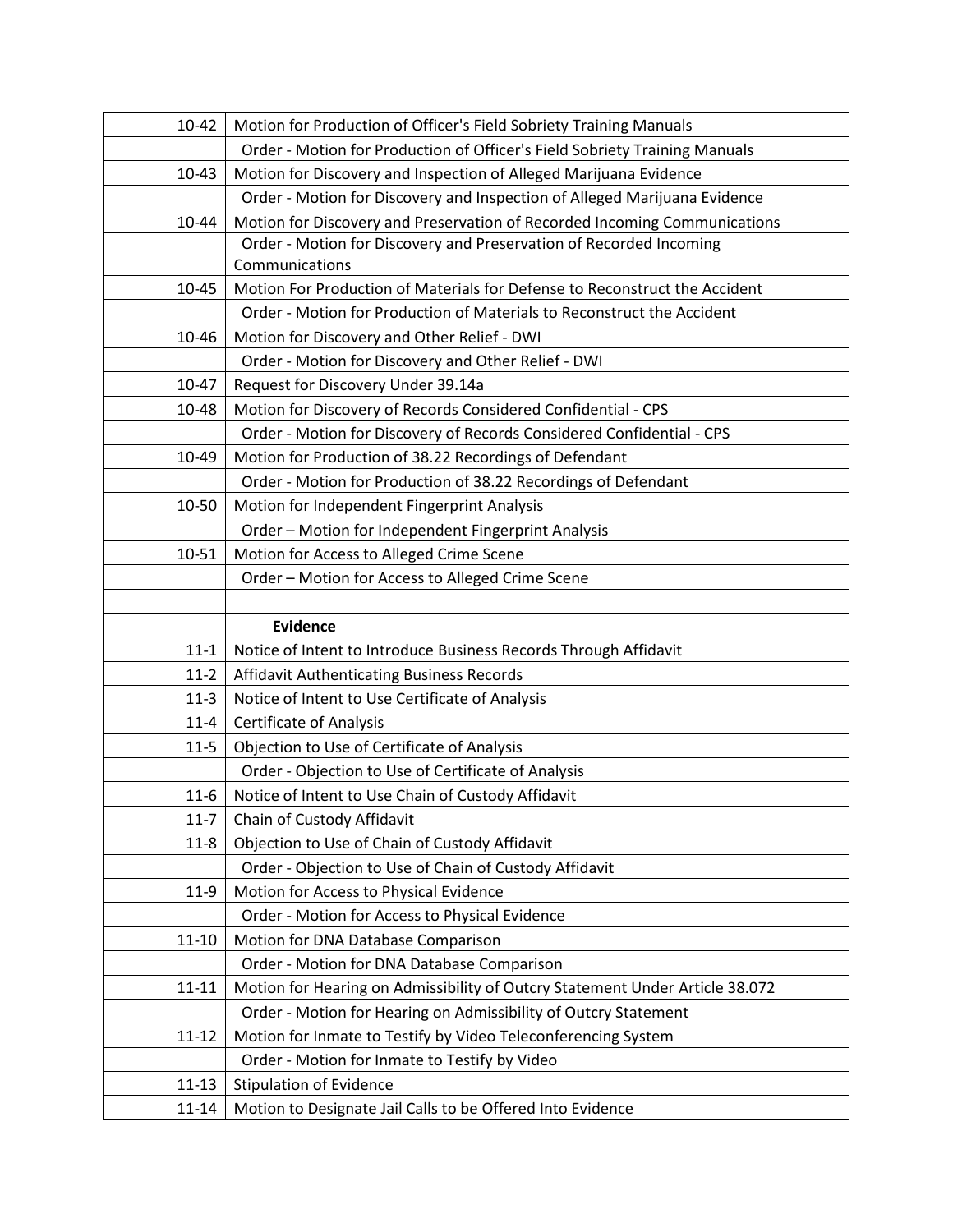| 10-42     | Motion for Production of Officer's Field Sobriety Training Manuals           |
|-----------|------------------------------------------------------------------------------|
|           | Order - Motion for Production of Officer's Field Sobriety Training Manuals   |
| $10 - 43$ | Motion for Discovery and Inspection of Alleged Marijuana Evidence            |
|           | Order - Motion for Discovery and Inspection of Alleged Marijuana Evidence    |
| 10-44     | Motion for Discovery and Preservation of Recorded Incoming Communications    |
|           | Order - Motion for Discovery and Preservation of Recorded Incoming           |
|           | Communications                                                               |
| 10-45     | Motion For Production of Materials for Defense to Reconstruct the Accident   |
|           | Order - Motion for Production of Materials to Reconstruct the Accident       |
| 10-46     | Motion for Discovery and Other Relief - DWI                                  |
|           | Order - Motion for Discovery and Other Relief - DWI                          |
| 10-47     | Request for Discovery Under 39.14a                                           |
| 10-48     | Motion for Discovery of Records Considered Confidential - CPS                |
|           | Order - Motion for Discovery of Records Considered Confidential - CPS        |
| 10-49     | Motion for Production of 38.22 Recordings of Defendant                       |
|           | Order - Motion for Production of 38.22 Recordings of Defendant               |
| 10-50     | Motion for Independent Fingerprint Analysis                                  |
|           | Order - Motion for Independent Fingerprint Analysis                          |
| 10-51     | Motion for Access to Alleged Crime Scene                                     |
|           | Order - Motion for Access to Alleged Crime Scene                             |
|           |                                                                              |
|           |                                                                              |
|           | <b>Evidence</b>                                                              |
| $11 - 1$  | Notice of Intent to Introduce Business Records Through Affidavit             |
| $11-2$    | Affidavit Authenticating Business Records                                    |
| $11-3$    | Notice of Intent to Use Certificate of Analysis                              |
| $11 - 4$  | <b>Certificate of Analysis</b>                                               |
| $11 - 5$  | Objection to Use of Certificate of Analysis                                  |
|           | Order - Objection to Use of Certificate of Analysis                          |
| $11 - 6$  | Notice of Intent to Use Chain of Custody Affidavit                           |
| $11 - 7$  | Chain of Custody Affidavit                                                   |
| $11 - 8$  | Objection to Use of Chain of Custody Affidavit                               |
|           | Order - Objection to Use of Chain of Custody Affidavit                       |
| $11-9$    | Motion for Access to Physical Evidence                                       |
|           | Order - Motion for Access to Physical Evidence                               |
| $11 - 10$ | Motion for DNA Database Comparison                                           |
|           | Order - Motion for DNA Database Comparison                                   |
| $11 - 11$ | Motion for Hearing on Admissibility of Outcry Statement Under Article 38.072 |
|           | Order - Motion for Hearing on Admissibility of Outcry Statement              |
| $11 - 12$ | Motion for Inmate to Testify by Video Teleconferencing System                |
|           | Order - Motion for Inmate to Testify by Video                                |
| $11 - 13$ | <b>Stipulation of Evidence</b>                                               |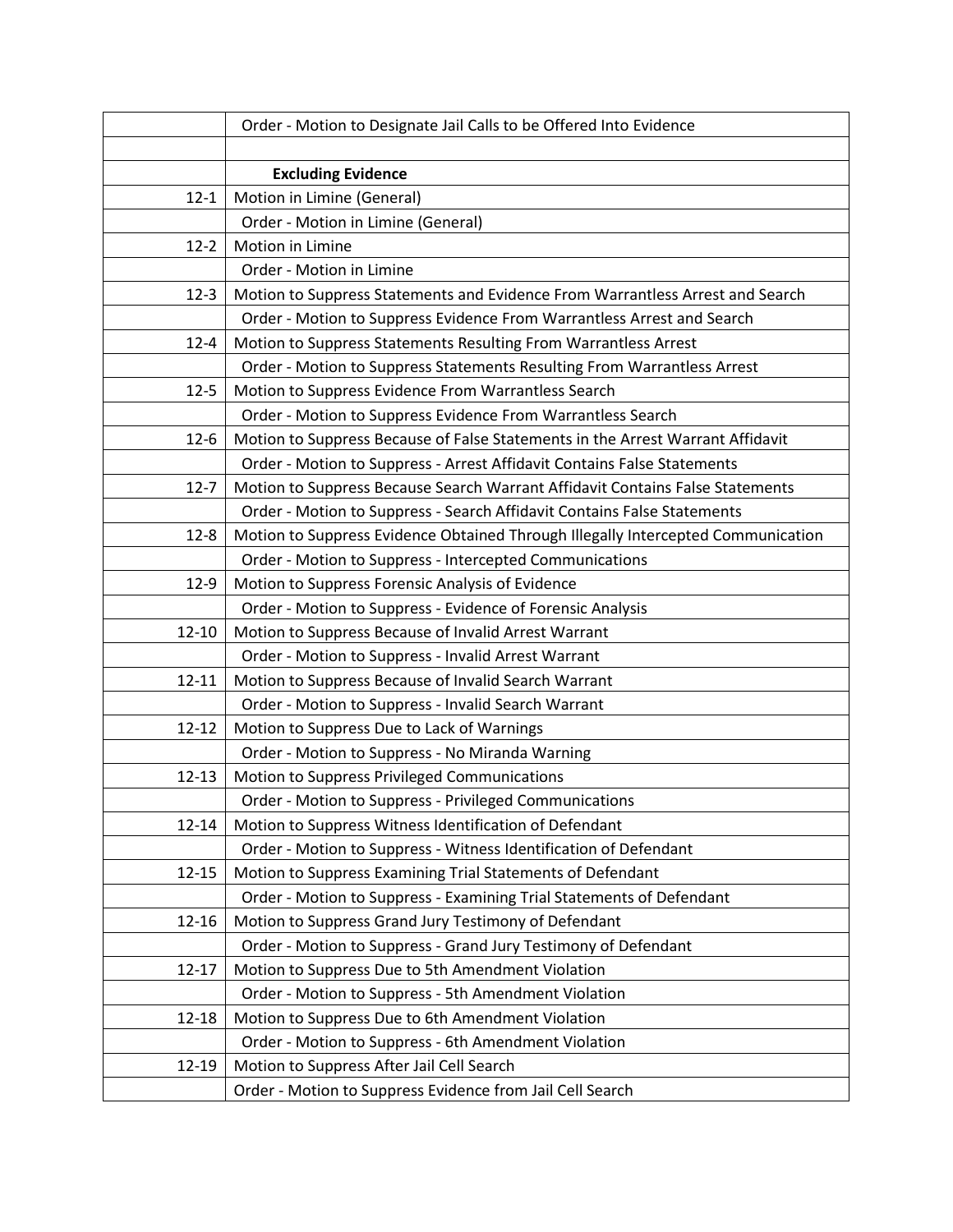|           | Order - Motion to Designate Jail Calls to be Offered Into Evidence               |
|-----------|----------------------------------------------------------------------------------|
|           |                                                                                  |
|           | <b>Excluding Evidence</b>                                                        |
| $12 - 1$  | Motion in Limine (General)                                                       |
|           | Order - Motion in Limine (General)                                               |
| $12 - 2$  | Motion in Limine                                                                 |
|           | Order - Motion in Limine                                                         |
| $12-3$    | Motion to Suppress Statements and Evidence From Warrantless Arrest and Search    |
|           | Order - Motion to Suppress Evidence From Warrantless Arrest and Search           |
| $12 - 4$  | Motion to Suppress Statements Resulting From Warrantless Arrest                  |
|           | Order - Motion to Suppress Statements Resulting From Warrantless Arrest          |
| $12 - 5$  | Motion to Suppress Evidence From Warrantless Search                              |
|           | Order - Motion to Suppress Evidence From Warrantless Search                      |
| $12 - 6$  | Motion to Suppress Because of False Statements in the Arrest Warrant Affidavit   |
|           | Order - Motion to Suppress - Arrest Affidavit Contains False Statements          |
| $12 - 7$  | Motion to Suppress Because Search Warrant Affidavit Contains False Statements    |
|           | Order - Motion to Suppress - Search Affidavit Contains False Statements          |
| $12 - 8$  | Motion to Suppress Evidence Obtained Through Illegally Intercepted Communication |
|           | Order - Motion to Suppress - Intercepted Communications                          |
| $12-9$    | Motion to Suppress Forensic Analysis of Evidence                                 |
|           | Order - Motion to Suppress - Evidence of Forensic Analysis                       |
| 12-10     | Motion to Suppress Because of Invalid Arrest Warrant                             |
|           | Order - Motion to Suppress - Invalid Arrest Warrant                              |
| $12 - 11$ | Motion to Suppress Because of Invalid Search Warrant                             |
|           | Order - Motion to Suppress - Invalid Search Warrant                              |
| $12 - 12$ | Motion to Suppress Due to Lack of Warnings                                       |
|           | Order - Motion to Suppress - No Miranda Warning                                  |
| $12 - 13$ | Motion to Suppress Privileged Communications                                     |
|           | Order - Motion to Suppress - Privileged Communications                           |
| 12-14     | Motion to Suppress Witness Identification of Defendant                           |
|           | Order - Motion to Suppress - Witness Identification of Defendant                 |
| $12 - 15$ | Motion to Suppress Examining Trial Statements of Defendant                       |
|           | Order - Motion to Suppress - Examining Trial Statements of Defendant             |
| 12-16     | Motion to Suppress Grand Jury Testimony of Defendant                             |
|           | Order - Motion to Suppress - Grand Jury Testimony of Defendant                   |
| $12 - 17$ | Motion to Suppress Due to 5th Amendment Violation                                |
|           | Order - Motion to Suppress - 5th Amendment Violation                             |
| 12-18     | Motion to Suppress Due to 6th Amendment Violation                                |
|           | Order - Motion to Suppress - 6th Amendment Violation                             |
| 12-19     | Motion to Suppress After Jail Cell Search                                        |
|           | Order - Motion to Suppress Evidence from Jail Cell Search                        |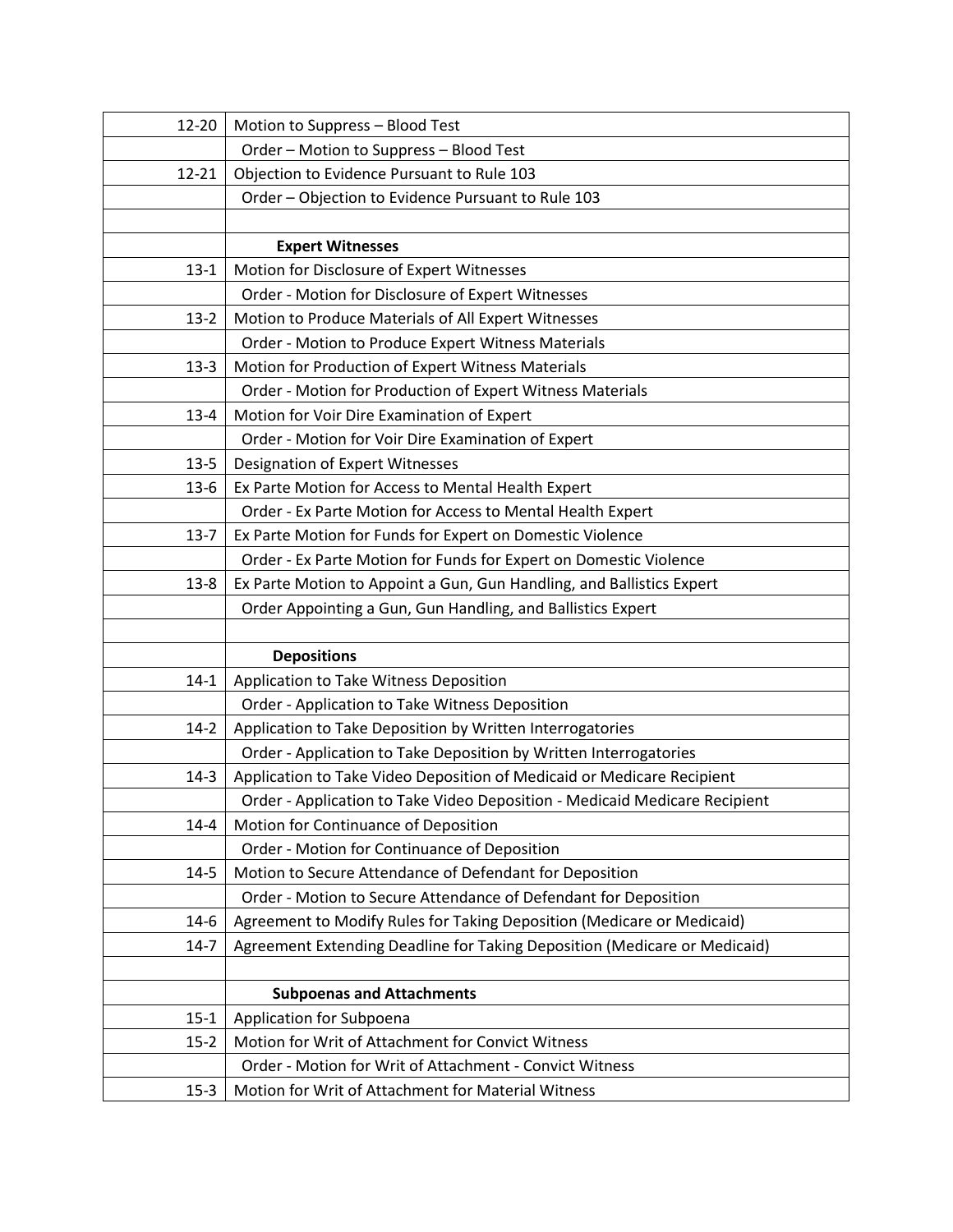| 12-20    | Motion to Suppress - Blood Test                                            |
|----------|----------------------------------------------------------------------------|
|          | Order - Motion to Suppress - Blood Test                                    |
| 12-21    | Objection to Evidence Pursuant to Rule 103                                 |
|          | Order - Objection to Evidence Pursuant to Rule 103                         |
|          |                                                                            |
|          | <b>Expert Witnesses</b>                                                    |
| $13 - 1$ | Motion for Disclosure of Expert Witnesses                                  |
|          | Order - Motion for Disclosure of Expert Witnesses                          |
| $13-2$   | Motion to Produce Materials of All Expert Witnesses                        |
|          | Order - Motion to Produce Expert Witness Materials                         |
| $13-3$   | Motion for Production of Expert Witness Materials                          |
|          | Order - Motion for Production of Expert Witness Materials                  |
| $13 - 4$ | Motion for Voir Dire Examination of Expert                                 |
|          | Order - Motion for Voir Dire Examination of Expert                         |
| $13 - 5$ | Designation of Expert Witnesses                                            |
| $13-6$   | Ex Parte Motion for Access to Mental Health Expert                         |
|          | Order - Ex Parte Motion for Access to Mental Health Expert                 |
| $13-7$   | Ex Parte Motion for Funds for Expert on Domestic Violence                  |
|          | Order - Ex Parte Motion for Funds for Expert on Domestic Violence          |
| $13 - 8$ | Ex Parte Motion to Appoint a Gun, Gun Handling, and Ballistics Expert      |
|          | Order Appointing a Gun, Gun Handling, and Ballistics Expert                |
|          |                                                                            |
|          | <b>Depositions</b>                                                         |
| $14 - 1$ | Application to Take Witness Deposition                                     |
|          | Order - Application to Take Witness Deposition                             |
| $14-2$   | Application to Take Deposition by Written Interrogatories                  |
|          | Order - Application to Take Deposition by Written Interrogatories          |
| $14-3$   | Application to Take Video Deposition of Medicaid or Medicare Recipient     |
|          | Order - Application to Take Video Deposition - Medicaid Medicare Recipient |
| $14 - 4$ | Motion for Continuance of Deposition                                       |
|          | Order - Motion for Continuance of Deposition                               |
| $14 - 5$ | Motion to Secure Attendance of Defendant for Deposition                    |
|          | Order - Motion to Secure Attendance of Defendant for Deposition            |
| $14-6$   | Agreement to Modify Rules for Taking Deposition (Medicare or Medicaid)     |
| $14 - 7$ | Agreement Extending Deadline for Taking Deposition (Medicare or Medicaid)  |
|          |                                                                            |
|          | <b>Subpoenas and Attachments</b>                                           |
| $15 - 1$ | Application for Subpoena                                                   |
| $15 - 2$ | Motion for Writ of Attachment for Convict Witness                          |
|          | Order - Motion for Writ of Attachment - Convict Witness                    |
| $15-3$   | Motion for Writ of Attachment for Material Witness                         |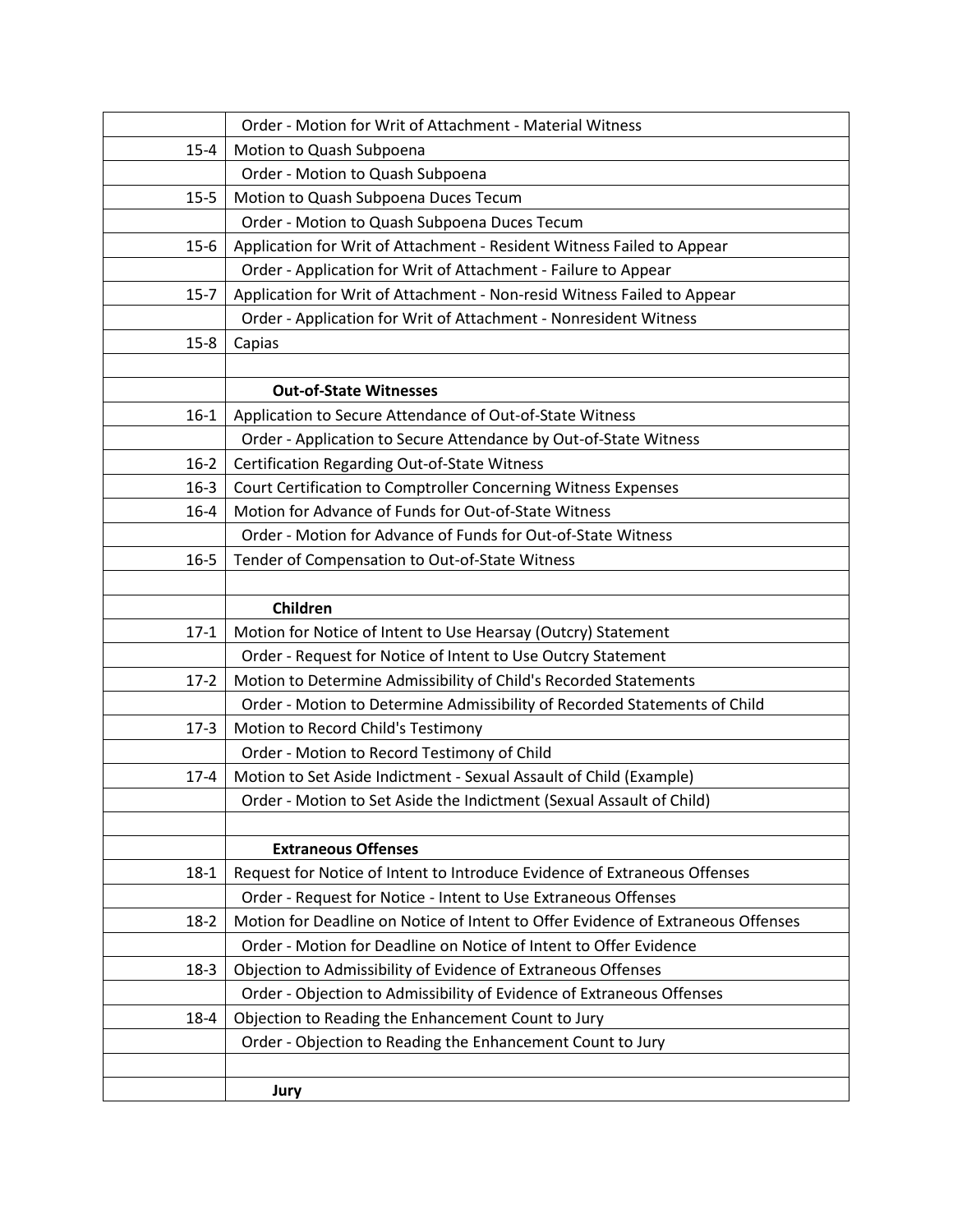|          | Order - Motion for Writ of Attachment - Material Witness                         |
|----------|----------------------------------------------------------------------------------|
| $15 - 4$ | Motion to Quash Subpoena                                                         |
|          | Order - Motion to Quash Subpoena                                                 |
| $15 - 5$ | Motion to Quash Subpoena Duces Tecum                                             |
|          | Order - Motion to Quash Subpoena Duces Tecum                                     |
| $15-6$   | Application for Writ of Attachment - Resident Witness Failed to Appear           |
|          | Order - Application for Writ of Attachment - Failure to Appear                   |
| $15 - 7$ | Application for Writ of Attachment - Non-resid Witness Failed to Appear          |
|          | Order - Application for Writ of Attachment - Nonresident Witness                 |
| $15 - 8$ | Capias                                                                           |
|          |                                                                                  |
|          | <b>Out-of-State Witnesses</b>                                                    |
| $16-1$   | Application to Secure Attendance of Out-of-State Witness                         |
|          | Order - Application to Secure Attendance by Out-of-State Witness                 |
| $16 - 2$ | Certification Regarding Out-of-State Witness                                     |
| $16 - 3$ | Court Certification to Comptroller Concerning Witness Expenses                   |
| $16 - 4$ | Motion for Advance of Funds for Out-of-State Witness                             |
|          | Order - Motion for Advance of Funds for Out-of-State Witness                     |
| $16 - 5$ | Tender of Compensation to Out-of-State Witness                                   |
|          |                                                                                  |
|          | Children                                                                         |
| $17-1$   | Motion for Notice of Intent to Use Hearsay (Outcry) Statement                    |
|          | Order - Request for Notice of Intent to Use Outcry Statement                     |
| $17-2$   | Motion to Determine Admissibility of Child's Recorded Statements                 |
|          | Order - Motion to Determine Admissibility of Recorded Statements of Child        |
| $17-3$   | Motion to Record Child's Testimony                                               |
|          | Order - Motion to Record Testimony of Child                                      |
| $17 - 4$ | Motion to Set Aside Indictment - Sexual Assault of Child (Example)               |
|          | Order - Motion to Set Aside the Indictment (Sexual Assault of Child)             |
|          |                                                                                  |
|          | <b>Extraneous Offenses</b>                                                       |
| $18-1$   | Request for Notice of Intent to Introduce Evidence of Extraneous Offenses        |
|          | Order - Request for Notice - Intent to Use Extraneous Offenses                   |
| $18-2$   | Motion for Deadline on Notice of Intent to Offer Evidence of Extraneous Offenses |
|          | Order - Motion for Deadline on Notice of Intent to Offer Evidence                |
| $18-3$   | Objection to Admissibility of Evidence of Extraneous Offenses                    |
|          | Order - Objection to Admissibility of Evidence of Extraneous Offenses            |
| $18 - 4$ | Objection to Reading the Enhancement Count to Jury                               |
|          | Order - Objection to Reading the Enhancement Count to Jury                       |
|          |                                                                                  |
|          | Jury                                                                             |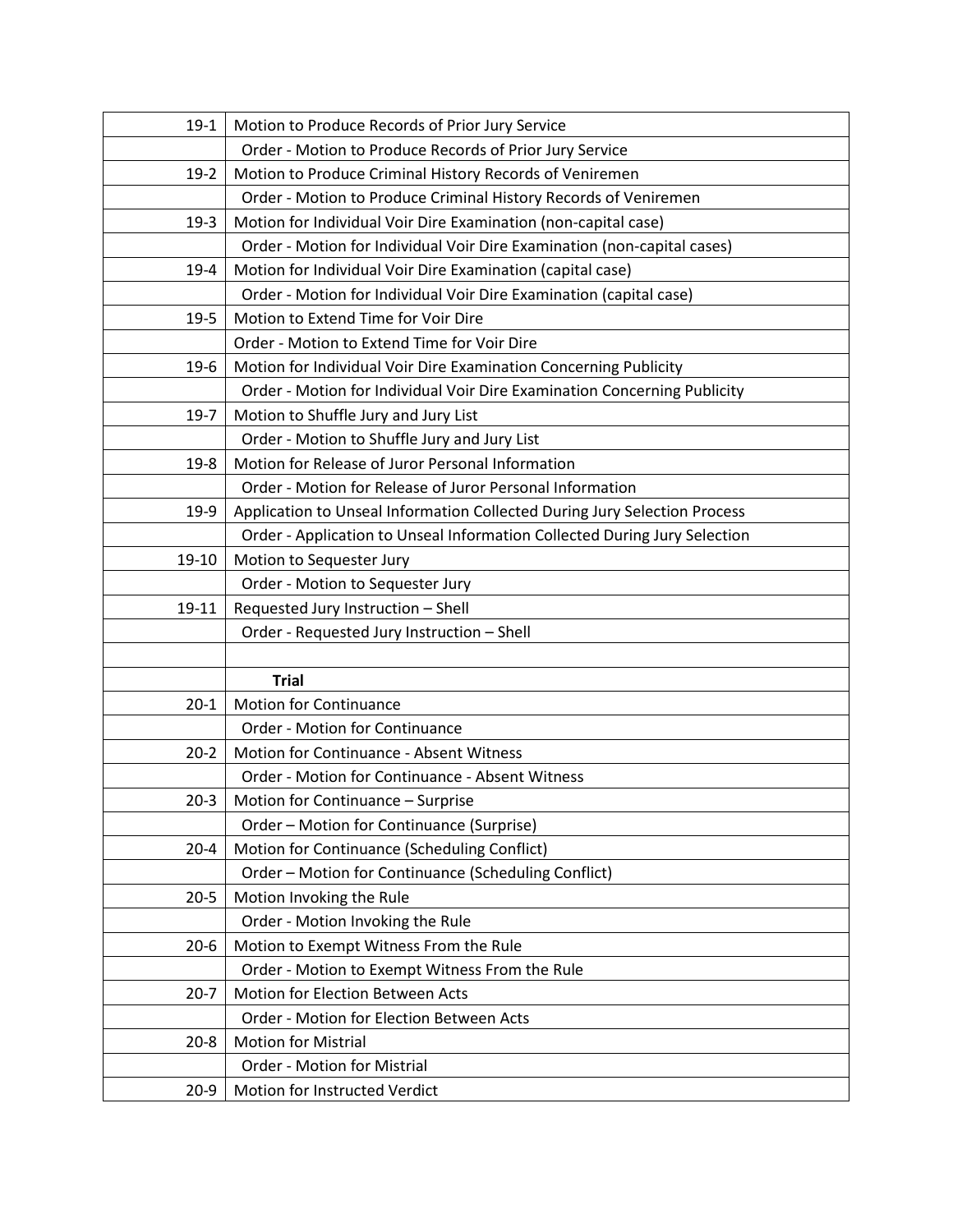| $19-1$   | Motion to Produce Records of Prior Jury Service                           |
|----------|---------------------------------------------------------------------------|
|          | Order - Motion to Produce Records of Prior Jury Service                   |
| $19-2$   | Motion to Produce Criminal History Records of Veniremen                   |
|          | Order - Motion to Produce Criminal History Records of Veniremen           |
| $19-3$   | Motion for Individual Voir Dire Examination (non-capital case)            |
|          | Order - Motion for Individual Voir Dire Examination (non-capital cases)   |
| $19-4$   | Motion for Individual Voir Dire Examination (capital case)                |
|          | Order - Motion for Individual Voir Dire Examination (capital case)        |
| $19 - 5$ | Motion to Extend Time for Voir Dire                                       |
|          | Order - Motion to Extend Time for Voir Dire                               |
| $19-6$   | Motion for Individual Voir Dire Examination Concerning Publicity          |
|          | Order - Motion for Individual Voir Dire Examination Concerning Publicity  |
| $19-7$   | Motion to Shuffle Jury and Jury List                                      |
|          | Order - Motion to Shuffle Jury and Jury List                              |
| $19 - 8$ | Motion for Release of Juror Personal Information                          |
|          | Order - Motion for Release of Juror Personal Information                  |
| $19-9$   | Application to Unseal Information Collected During Jury Selection Process |
|          | Order - Application to Unseal Information Collected During Jury Selection |
| 19-10    | Motion to Sequester Jury                                                  |
|          | Order - Motion to Sequester Jury                                          |
| 19-11    | Requested Jury Instruction - Shell                                        |
|          | Order - Requested Jury Instruction - Shell                                |
|          |                                                                           |
|          | <b>Trial</b>                                                              |
| $20 - 1$ | <b>Motion for Continuance</b>                                             |
|          | Order - Motion for Continuance                                            |
| $20 - 2$ | Motion for Continuance - Absent Witness                                   |
|          | Order - Motion for Continuance - Absent Witness                           |
| $20-3$   | Motion for Continuance - Surprise                                         |
|          | Order - Motion for Continuance (Surprise)                                 |
| $20 - 4$ | Motion for Continuance (Scheduling Conflict)                              |
|          | Order - Motion for Continuance (Scheduling Conflict)                      |
| $20 - 5$ | Motion Invoking the Rule                                                  |
|          | Order - Motion Invoking the Rule                                          |
| $20-6$   | Motion to Exempt Witness From the Rule                                    |
|          | Order - Motion to Exempt Witness From the Rule                            |
| $20 - 7$ | Motion for Election Between Acts                                          |
|          | Order - Motion for Election Between Acts                                  |
| $20 - 8$ | <b>Motion for Mistrial</b>                                                |
|          | <b>Order - Motion for Mistrial</b>                                        |
| $20-9$   | Motion for Instructed Verdict                                             |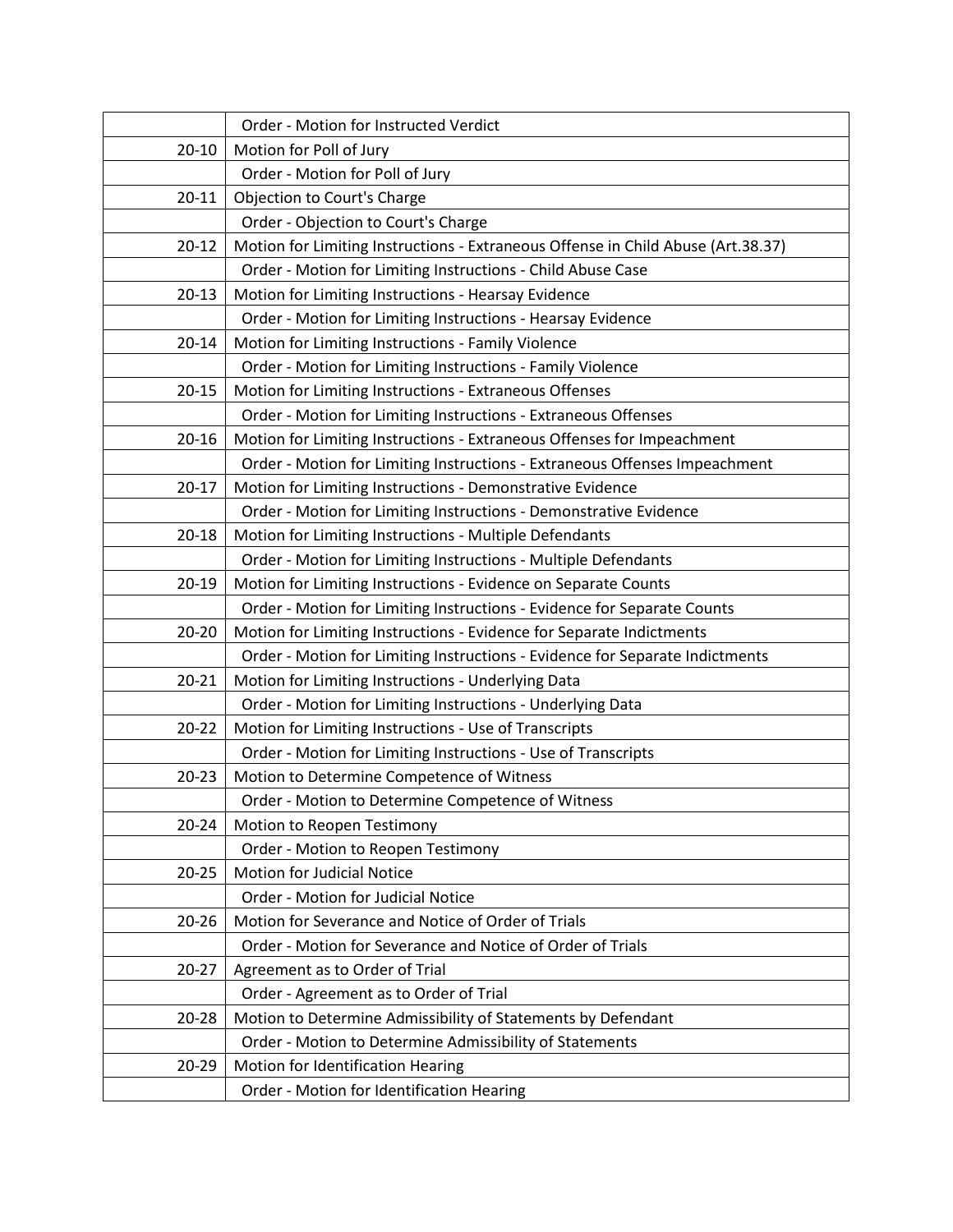|           | Order - Motion for Instructed Verdict                                            |
|-----------|----------------------------------------------------------------------------------|
| $20 - 10$ | Motion for Poll of Jury                                                          |
|           | Order - Motion for Poll of Jury                                                  |
| $20 - 11$ | Objection to Court's Charge                                                      |
|           | Order - Objection to Court's Charge                                              |
| $20 - 12$ | Motion for Limiting Instructions - Extraneous Offense in Child Abuse (Art.38.37) |
|           | Order - Motion for Limiting Instructions - Child Abuse Case                      |
| $20 - 13$ | Motion for Limiting Instructions - Hearsay Evidence                              |
|           | Order - Motion for Limiting Instructions - Hearsay Evidence                      |
| $20 - 14$ | Motion for Limiting Instructions - Family Violence                               |
|           | Order - Motion for Limiting Instructions - Family Violence                       |
| $20 - 15$ | Motion for Limiting Instructions - Extraneous Offenses                           |
|           | Order - Motion for Limiting Instructions - Extraneous Offenses                   |
| $20 - 16$ | Motion for Limiting Instructions - Extraneous Offenses for Impeachment           |
|           | Order - Motion for Limiting Instructions - Extraneous Offenses Impeachment       |
| $20 - 17$ | Motion for Limiting Instructions - Demonstrative Evidence                        |
|           | Order - Motion for Limiting Instructions - Demonstrative Evidence                |
| $20 - 18$ | Motion for Limiting Instructions - Multiple Defendants                           |
|           | Order - Motion for Limiting Instructions - Multiple Defendants                   |
| $20 - 19$ | Motion for Limiting Instructions - Evidence on Separate Counts                   |
|           | Order - Motion for Limiting Instructions - Evidence for Separate Counts          |
| $20 - 20$ | Motion for Limiting Instructions - Evidence for Separate Indictments             |
|           | Order - Motion for Limiting Instructions - Evidence for Separate Indictments     |
| $20 - 21$ | Motion for Limiting Instructions - Underlying Data                               |
|           | Order - Motion for Limiting Instructions - Underlying Data                       |
| $20 - 22$ | Motion for Limiting Instructions - Use of Transcripts                            |
|           | Order - Motion for Limiting Instructions - Use of Transcripts                    |
| $20 - 23$ | Motion to Determine Competence of Witness                                        |
|           | Order - Motion to Determine Competence of Witness                                |
| $20 - 24$ | Motion to Reopen Testimony                                                       |
|           | Order - Motion to Reopen Testimony                                               |
| $20 - 25$ | Motion for Judicial Notice                                                       |
|           | Order - Motion for Judicial Notice                                               |
| $20 - 26$ | Motion for Severance and Notice of Order of Trials                               |
|           | Order - Motion for Severance and Notice of Order of Trials                       |
| $20 - 27$ | Agreement as to Order of Trial                                                   |
|           | Order - Agreement as to Order of Trial                                           |
| 20-28     | Motion to Determine Admissibility of Statements by Defendant                     |
|           | Order - Motion to Determine Admissibility of Statements                          |
| 20-29     | Motion for Identification Hearing                                                |
|           | Order - Motion for Identification Hearing                                        |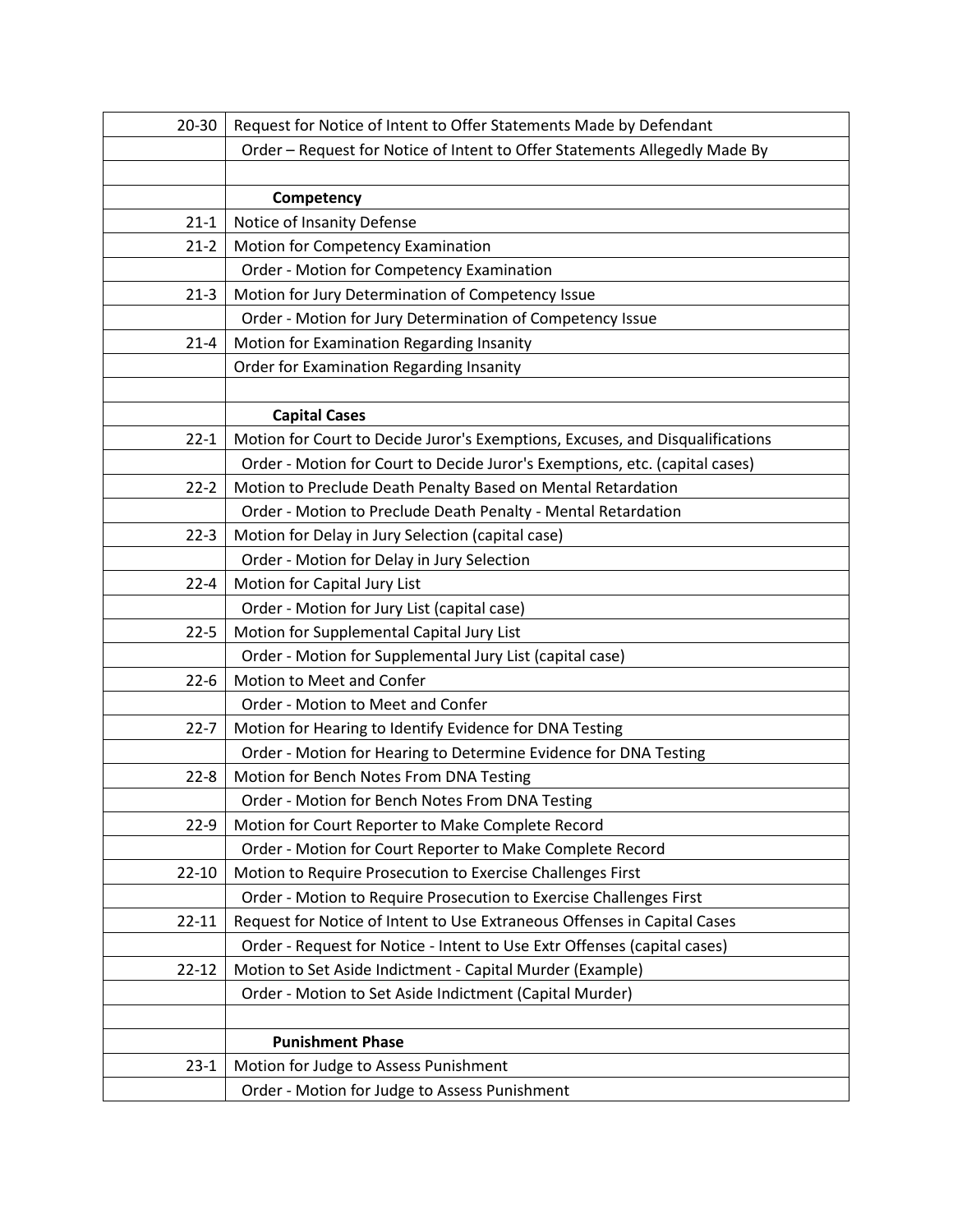| $20 - 30$ | Request for Notice of Intent to Offer Statements Made by Defendant            |
|-----------|-------------------------------------------------------------------------------|
|           | Order - Request for Notice of Intent to Offer Statements Allegedly Made By    |
|           |                                                                               |
|           | Competency                                                                    |
| $21 - 1$  | Notice of Insanity Defense                                                    |
| $21 - 2$  | Motion for Competency Examination                                             |
|           | Order - Motion for Competency Examination                                     |
| $21 - 3$  | Motion for Jury Determination of Competency Issue                             |
|           | Order - Motion for Jury Determination of Competency Issue                     |
| $21 - 4$  | Motion for Examination Regarding Insanity                                     |
|           | Order for Examination Regarding Insanity                                      |
|           |                                                                               |
|           | <b>Capital Cases</b>                                                          |
| $22 - 1$  | Motion for Court to Decide Juror's Exemptions, Excuses, and Disqualifications |
|           | Order - Motion for Court to Decide Juror's Exemptions, etc. (capital cases)   |
| $22 - 2$  | Motion to Preclude Death Penalty Based on Mental Retardation                  |
|           | Order - Motion to Preclude Death Penalty - Mental Retardation                 |
| $22 - 3$  | Motion for Delay in Jury Selection (capital case)                             |
|           | Order - Motion for Delay in Jury Selection                                    |
| $22 - 4$  | Motion for Capital Jury List                                                  |
|           | Order - Motion for Jury List (capital case)                                   |
| $22 - 5$  | Motion for Supplemental Capital Jury List                                     |
|           | Order - Motion for Supplemental Jury List (capital case)                      |
| $22 - 6$  | Motion to Meet and Confer                                                     |
|           | Order - Motion to Meet and Confer                                             |
| $22 - 7$  | Motion for Hearing to Identify Evidence for DNA Testing                       |
|           | Order - Motion for Hearing to Determine Evidence for DNA Testing              |
| $22 - 8$  | Motion for Bench Notes From DNA Testing                                       |
|           | Order - Motion for Bench Notes From DNA Testing                               |
| $22-9$    | Motion for Court Reporter to Make Complete Record                             |
|           | Order - Motion for Court Reporter to Make Complete Record                     |
| $22 - 10$ | Motion to Require Prosecution to Exercise Challenges First                    |
|           | Order - Motion to Require Prosecution to Exercise Challenges First            |
| $22 - 11$ | Request for Notice of Intent to Use Extraneous Offenses in Capital Cases      |
|           | Order - Request for Notice - Intent to Use Extr Offenses (capital cases)      |
| $22 - 12$ | Motion to Set Aside Indictment - Capital Murder (Example)                     |
|           | Order - Motion to Set Aside Indictment (Capital Murder)                       |
|           |                                                                               |
|           | <b>Punishment Phase</b>                                                       |
| $23 - 1$  | Motion for Judge to Assess Punishment                                         |
|           | Order - Motion for Judge to Assess Punishment                                 |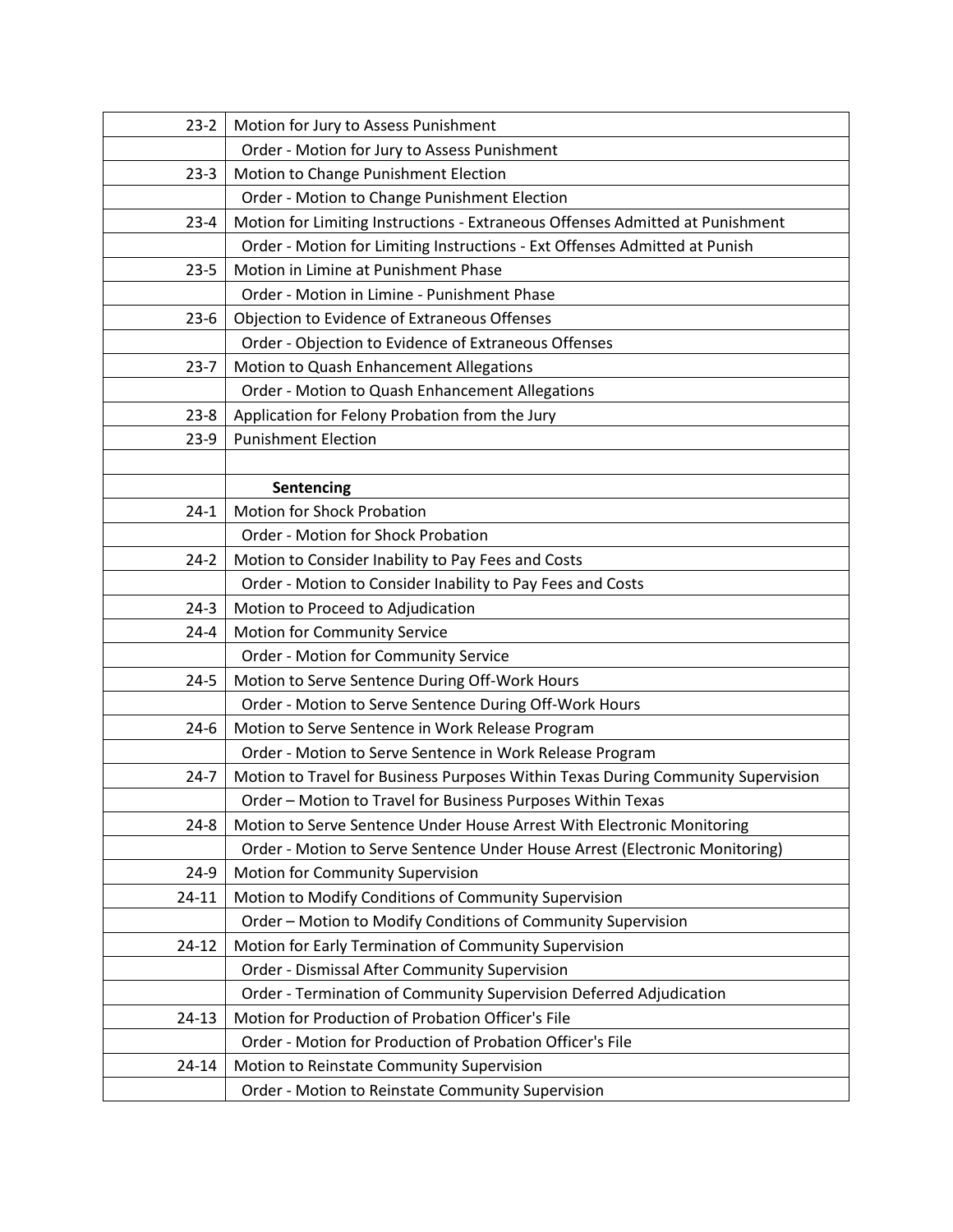| $23-2$    | Motion for Jury to Assess Punishment                                             |
|-----------|----------------------------------------------------------------------------------|
|           | Order - Motion for Jury to Assess Punishment                                     |
| $23-3$    | Motion to Change Punishment Election                                             |
|           | Order - Motion to Change Punishment Election                                     |
| $23 - 4$  | Motion for Limiting Instructions - Extraneous Offenses Admitted at Punishment    |
|           | Order - Motion for Limiting Instructions - Ext Offenses Admitted at Punish       |
| $23 - 5$  | Motion in Limine at Punishment Phase                                             |
|           | Order - Motion in Limine - Punishment Phase                                      |
| $23-6$    | Objection to Evidence of Extraneous Offenses                                     |
|           | Order - Objection to Evidence of Extraneous Offenses                             |
| $23 - 7$  | Motion to Quash Enhancement Allegations                                          |
|           | Order - Motion to Quash Enhancement Allegations                                  |
| $23 - 8$  | Application for Felony Probation from the Jury                                   |
| $23-9$    | <b>Punishment Election</b>                                                       |
|           |                                                                                  |
|           | Sentencing                                                                       |
| $24-1$    | <b>Motion for Shock Probation</b>                                                |
|           | Order - Motion for Shock Probation                                               |
| $24-2$    | Motion to Consider Inability to Pay Fees and Costs                               |
|           | Order - Motion to Consider Inability to Pay Fees and Costs                       |
| $24-3$    | Motion to Proceed to Adjudication                                                |
| $24 - 4$  | Motion for Community Service                                                     |
|           | Order - Motion for Community Service                                             |
| $24 - 5$  | Motion to Serve Sentence During Off-Work Hours                                   |
|           | Order - Motion to Serve Sentence During Off-Work Hours                           |
| $24-6$    | Motion to Serve Sentence in Work Release Program                                 |
|           | Order - Motion to Serve Sentence in Work Release Program                         |
| $24 - 7$  | Motion to Travel for Business Purposes Within Texas During Community Supervision |
|           | Order - Motion to Travel for Business Purposes Within Texas                      |
| $24 - 8$  | Motion to Serve Sentence Under House Arrest With Electronic Monitoring           |
|           | Order - Motion to Serve Sentence Under House Arrest (Electronic Monitoring)      |
| $24-9$    | Motion for Community Supervision                                                 |
| $24 - 11$ | Motion to Modify Conditions of Community Supervision                             |
|           | Order - Motion to Modify Conditions of Community Supervision                     |
| $24 - 12$ | Motion for Early Termination of Community Supervision                            |
|           | Order - Dismissal After Community Supervision                                    |
|           | Order - Termination of Community Supervision Deferred Adjudication               |
| $24 - 13$ | Motion for Production of Probation Officer's File                                |
|           | Order - Motion for Production of Probation Officer's File                        |
| 24-14     | Motion to Reinstate Community Supervision                                        |
|           | Order - Motion to Reinstate Community Supervision                                |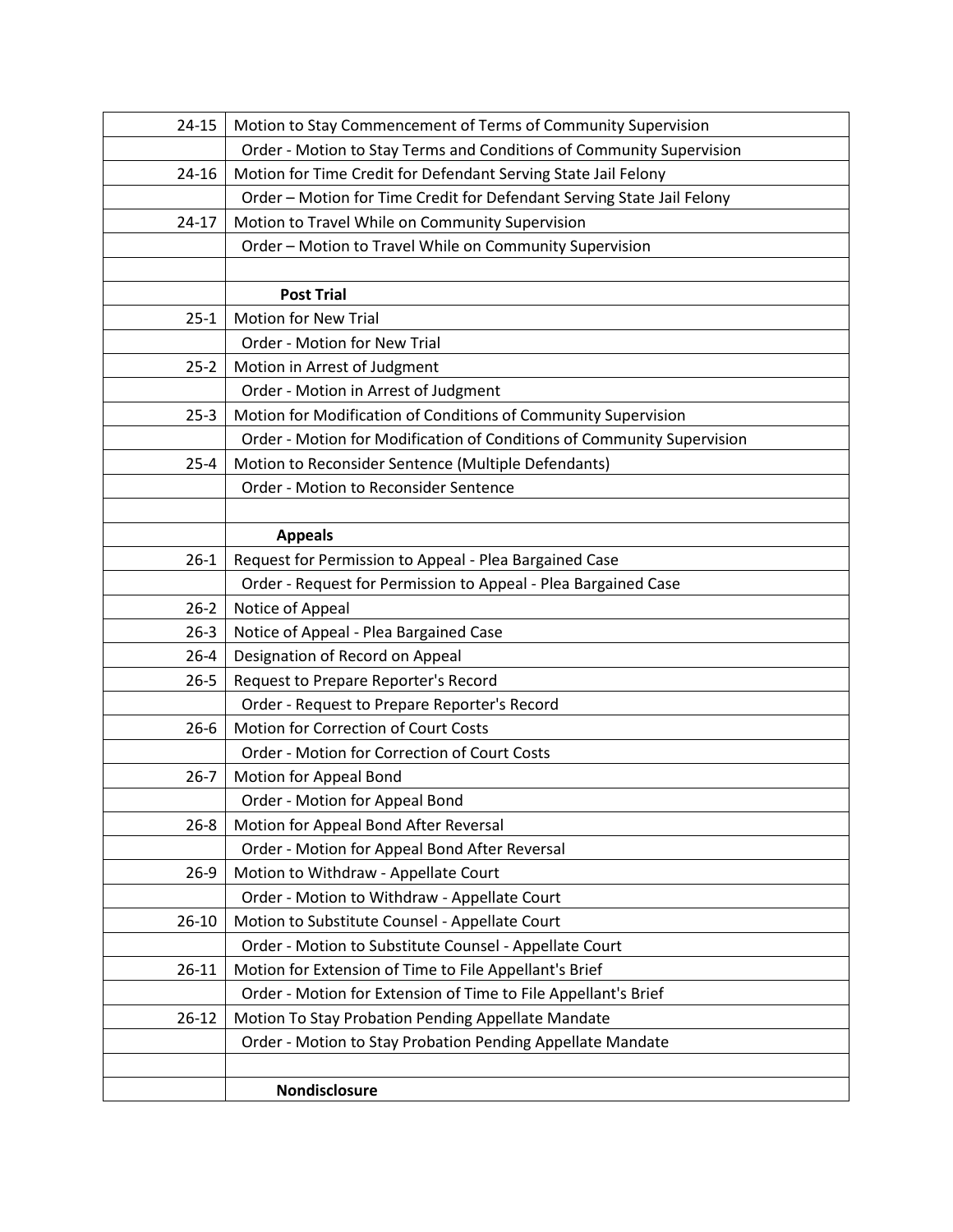| $24 - 15$ | Motion to Stay Commencement of Terms of Community Supervision          |
|-----------|------------------------------------------------------------------------|
|           | Order - Motion to Stay Terms and Conditions of Community Supervision   |
| 24-16     | Motion for Time Credit for Defendant Serving State Jail Felony         |
|           | Order - Motion for Time Credit for Defendant Serving State Jail Felony |
| $24 - 17$ | Motion to Travel While on Community Supervision                        |
|           | Order - Motion to Travel While on Community Supervision                |
|           |                                                                        |
|           | <b>Post Trial</b>                                                      |
| $25-1$    | <b>Motion for New Trial</b>                                            |
|           | Order - Motion for New Trial                                           |
| $25 - 2$  | Motion in Arrest of Judgment                                           |
|           | Order - Motion in Arrest of Judgment                                   |
| $25-3$    | Motion for Modification of Conditions of Community Supervision         |
|           | Order - Motion for Modification of Conditions of Community Supervision |
| $25 - 4$  | Motion to Reconsider Sentence (Multiple Defendants)                    |
|           | Order - Motion to Reconsider Sentence                                  |
|           |                                                                        |
|           | <b>Appeals</b>                                                         |
| $26-1$    | Request for Permission to Appeal - Plea Bargained Case                 |
|           | Order - Request for Permission to Appeal - Plea Bargained Case         |
| $26 - 2$  | Notice of Appeal                                                       |
| $26 - 3$  | Notice of Appeal - Plea Bargained Case                                 |
| $26 - 4$  | Designation of Record on Appeal                                        |
| $26 - 5$  | Request to Prepare Reporter's Record                                   |
|           | Order - Request to Prepare Reporter's Record                           |
| $26 - 6$  | Motion for Correction of Court Costs                                   |
|           | Order - Motion for Correction of Court Costs                           |
| $26 - 7$  | Motion for Appeal Bond                                                 |
|           | Order - Motion for Appeal Bond                                         |
| $26 - 8$  | Motion for Appeal Bond After Reversal                                  |
|           | Order - Motion for Appeal Bond After Reversal                          |
| $26-9$    | Motion to Withdraw - Appellate Court                                   |
|           | Order - Motion to Withdraw - Appellate Court                           |
| $26 - 10$ | Motion to Substitute Counsel - Appellate Court                         |
|           | Order - Motion to Substitute Counsel - Appellate Court                 |
| $26 - 11$ | Motion for Extension of Time to File Appellant's Brief                 |
|           | Order - Motion for Extension of Time to File Appellant's Brief         |
| $26 - 12$ | Motion To Stay Probation Pending Appellate Mandate                     |
|           | Order - Motion to Stay Probation Pending Appellate Mandate             |
|           |                                                                        |
|           | Nondisclosure                                                          |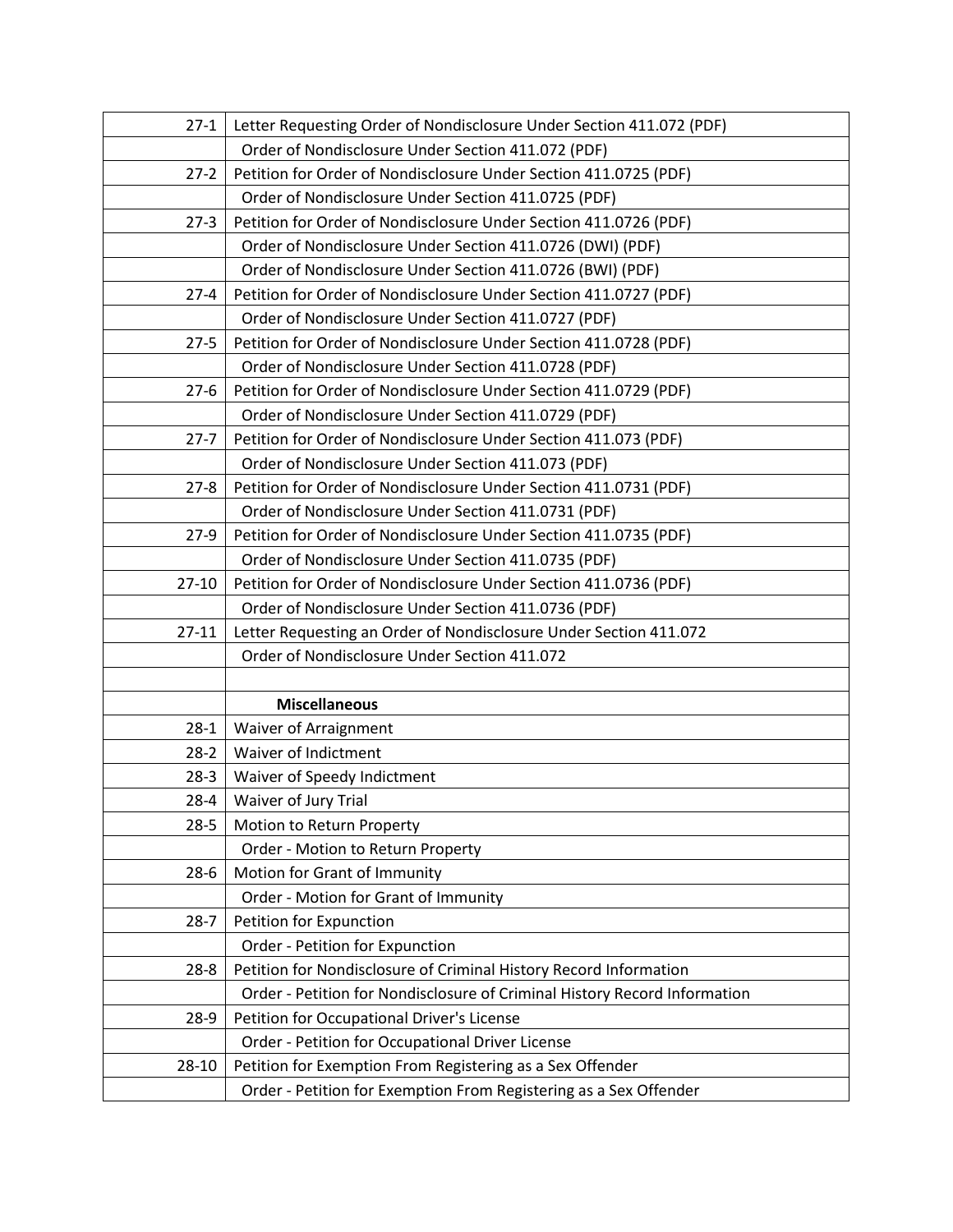| $27-1$    | Letter Requesting Order of Nondisclosure Under Section 411.072 (PDF)      |
|-----------|---------------------------------------------------------------------------|
|           | Order of Nondisclosure Under Section 411.072 (PDF)                        |
| $27-2$    | Petition for Order of Nondisclosure Under Section 411.0725 (PDF)          |
|           | Order of Nondisclosure Under Section 411.0725 (PDF)                       |
| $27-3$    | Petition for Order of Nondisclosure Under Section 411.0726 (PDF)          |
|           | Order of Nondisclosure Under Section 411.0726 (DWI) (PDF)                 |
|           | Order of Nondisclosure Under Section 411.0726 (BWI) (PDF)                 |
| $27 - 4$  | Petition for Order of Nondisclosure Under Section 411.0727 (PDF)          |
|           | Order of Nondisclosure Under Section 411.0727 (PDF)                       |
| $27 - 5$  | Petition for Order of Nondisclosure Under Section 411.0728 (PDF)          |
|           | Order of Nondisclosure Under Section 411.0728 (PDF)                       |
| $27-6$    | Petition for Order of Nondisclosure Under Section 411.0729 (PDF)          |
|           | Order of Nondisclosure Under Section 411.0729 (PDF)                       |
| $27 - 7$  | Petition for Order of Nondisclosure Under Section 411.073 (PDF)           |
|           | Order of Nondisclosure Under Section 411.073 (PDF)                        |
| $27 - 8$  | Petition for Order of Nondisclosure Under Section 411.0731 (PDF)          |
|           | Order of Nondisclosure Under Section 411.0731 (PDF)                       |
| $27-9$    | Petition for Order of Nondisclosure Under Section 411.0735 (PDF)          |
|           | Order of Nondisclosure Under Section 411.0735 (PDF)                       |
| $27 - 10$ | Petition for Order of Nondisclosure Under Section 411.0736 (PDF)          |
|           | Order of Nondisclosure Under Section 411.0736 (PDF)                       |
| $27 - 11$ | Letter Requesting an Order of Nondisclosure Under Section 411.072         |
|           | Order of Nondisclosure Under Section 411.072                              |
|           |                                                                           |
|           | <b>Miscellaneous</b>                                                      |
| $28-1$    | Waiver of Arraignment                                                     |
| $28-2$    | Waiver of Indictment                                                      |
| $28-3$    | Waiver of Speedy Indictment                                               |
| $28 - 4$  | Waiver of Jury Trial                                                      |
| $28 - 5$  | Motion to Return Property                                                 |
|           | Order - Motion to Return Property                                         |
| $28-6$    | Motion for Grant of Immunity                                              |
|           | Order - Motion for Grant of Immunity                                      |
| $28 - 7$  | Petition for Expunction                                                   |
|           | Order - Petition for Expunction                                           |
| $28 - 8$  | Petition for Nondisclosure of Criminal History Record Information         |
|           | Order - Petition for Nondisclosure of Criminal History Record Information |
| $28-9$    | Petition for Occupational Driver's License                                |
|           | Order - Petition for Occupational Driver License                          |
| 28-10     | Petition for Exemption From Registering as a Sex Offender                 |
|           | Order - Petition for Exemption From Registering as a Sex Offender         |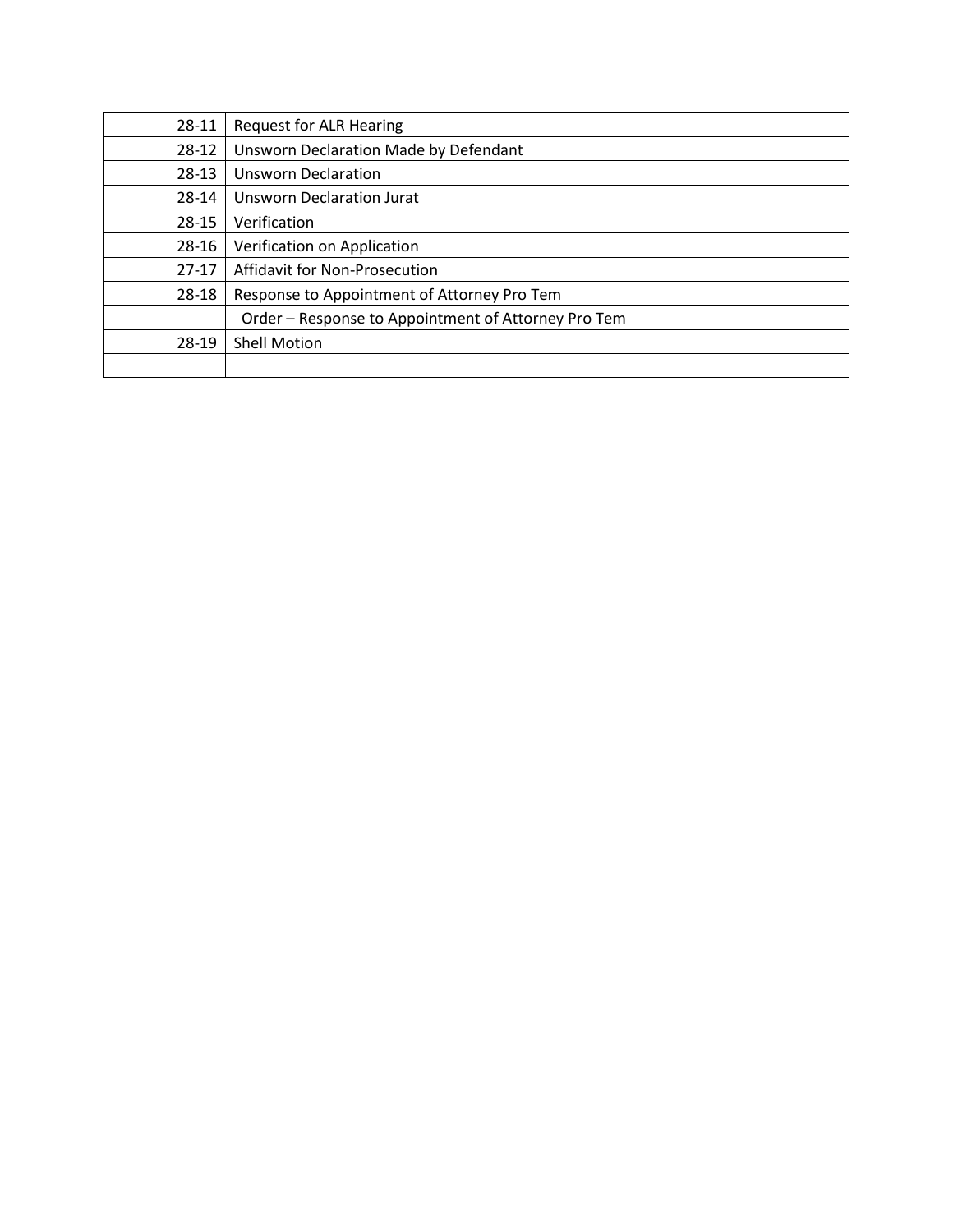| 28-11   | <b>Request for ALR Hearing</b>                      |
|---------|-----------------------------------------------------|
| 28-12   | Unsworn Declaration Made by Defendant               |
| $28-13$ | <b>Unsworn Declaration</b>                          |
| 28-14   | <b>Unsworn Declaration Jurat</b>                    |
| 28-15   | Verification                                        |
| 28-16   | Verification on Application                         |
| $27-17$ | Affidavit for Non-Prosecution                       |
| 28-18   | Response to Appointment of Attorney Pro Tem         |
|         | Order - Response to Appointment of Attorney Pro Tem |
| 28-19   | <b>Shell Motion</b>                                 |
|         |                                                     |